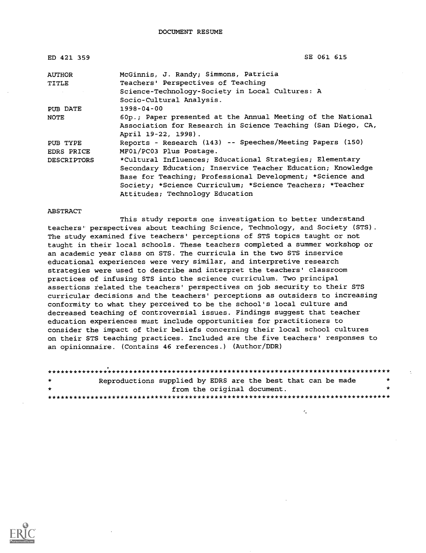| ED 421 359             | SE 061 615                                                                          |
|------------------------|-------------------------------------------------------------------------------------|
| <b>AUTHOR</b><br>TITLE | McGinnis, J. Randy; Simmons, Patricia<br>Teachers' Perspectives of Teaching         |
|                        | Science-Technology-Society in Local Cultures: A<br>Socio-Cultural Analysis.         |
| PUB DATE               | $1998 - 04 - 00$                                                                    |
| NOTE                   | 60p.; Paper presented at the Annual Meeting of the National                         |
|                        | Association for Research in Science Teaching (San Diego, CA,<br>April 19-22, 1998). |
| PUB TYPE               | Reports - Research (143) -- Speeches/Meeting Papers (150)                           |
| EDRS PRICE             | MF01/PC03 Plus Postage.                                                             |
| <b>DESCRIPTORS</b>     | *Cultural Influences; Educational Strategies; Elementary                            |
|                        | Secondary Education; Inservice Teacher Education; Knowledge                         |
|                        | Base for Teaching; Professional Development; *Science and                           |
|                        | Society; *Science Curriculum; *Science Teachers; *Teacher                           |
|                        | Attitudes; Technology Education                                                     |

#### ABSTRACT

This study reports one investigation to better understand teachers' perspectives about teaching Science, Technology, and Society (STS). The study examined five teachers' perceptions of STS topics taught or not taught in their local schools. These teachers completed a summer workshop or an academic year class on STS. The curricula in the two STS inservice educational experiences were very similar, and interpretive research strategies were used to describe and interpret the teachers' classroom practices of infusing STS into the science curriculum. Two principal assertions related the teachers' perspectives on job security to their STS curricular decisions and the teachers' perceptions as outsiders to increasing conformity to what they perceived to be the school's local culture and decreased teaching of controversial issues. Findings suggest that teacher education experiences must include opportunities for practitioners to consider the impact of their beliefs concerning their local school cultures on their STS teaching practices. Included are the five teachers' responses to an opinionnaire. (Contains 46 references.) (Author/DDR)

| $\star$ | Reproductions supplied by EDRS are the best that can be made |  |                             | * |  |
|---------|--------------------------------------------------------------|--|-----------------------------|---|--|
| $\star$ |                                                              |  | from the original document. |   |  |
|         |                                                              |  |                             |   |  |

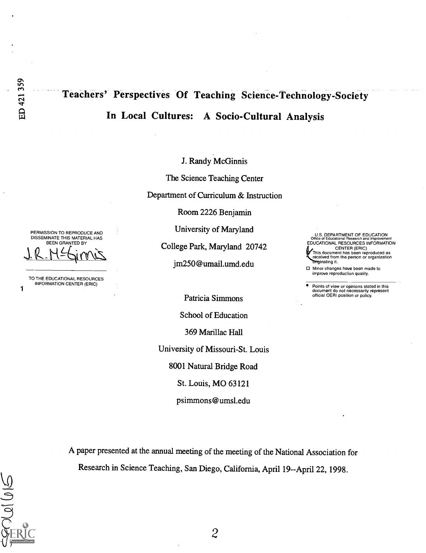$\frac{1}{2}$ 

# Teachers' Perspectives Of Teaching Science-Technology-Society In Local Cultures: A Socio-Cultural Analysis

J. Randy McGinnis

The Science Teaching Center

Department of Curriculum & Instruction

Room 2226 Benjamin

University of Maryland

College Park, Maryland 20742

jm250@umail.umd.edu

Patricia Simmons School of Education 369 Marillac Hall University of Missouri-St. Louis 8001 Natural Bridge Road St. Louis, MO 63121

U.S. DEPARTMENT OF EDUCATION Office of Educational Research and Improvement EDUCATIONAL RESOURCES INFORMATION<br>  $\vec{A}$ CENTER (ERIC) This document has been reproduced as received from the person or organization **Driginating it.** 

Minor changes have been made to improve reproduction quality.

Points of view or opinions stated in this document do not necessarily represent official OERI position or policy.

PERMISSION TO REPRODUCE AND DISSEMINATE THIS MATERIAL HAS BEEN GRANTED BY

TO THE EDUCATIONAL RESOURCES INFORMATION CENTER (ERIC) 1

psimmons @umsl.edu

A paper presented at the annual meeting of the meeting of the National Association for Research in Science Teaching, San Diego, California, April 19--April 22, 1998.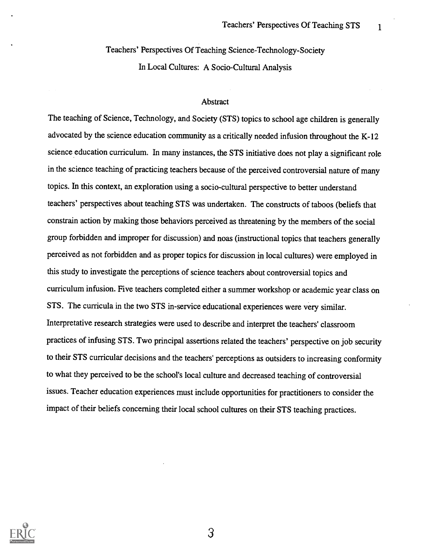1

Teachers' Perspectives Of Teaching Science-Technology-Society

In Local Cultures: A Socio-Cultural Analysis

#### Abstract

The teaching of Science, Technology, and Society (STS) topics to school age children is generally advocated by the science education community as a critically needed infusion throughout the K-12 science education curriculum. In many instances, the STS initiative does not play a significant role in the science teaching of practicing teachers because of the perceived controversial nature of many topics. In this context, an exploration using a socio-cultural perspective to better understand teachers' perspectives about teaching STS was undertaken. The constructs of taboos (beliefs that constrain action by making those behaviors perceived as threatening by the members of the social group forbidden and improper for discussion) and noas (instructional topics that teachers generally perceived as not forbidden and as proper topics for discussion in local cultures) were employed in this study to investigate the perceptions of science teachers about controversial topics and curriculum infusion. Five teachers completed either a summer workshop or academic year class on STS. The curricula in the two STS in-service educational experiences were very similar. Interpretative research strategies were used to describe and interpret the teachers' classroom practices of infusing STS. Two principal assertions related the teachers' perspective on job security to their STS curricular decisions and the teachers' perceptions as outsiders to increasing conformity to what they perceived to be the school's local culture and decreased teaching of controversial issues. Teacher education experiences must include opportunities for practitioners to consider the impact of their beliefs concerning their local school cultures on their STS teaching practices.

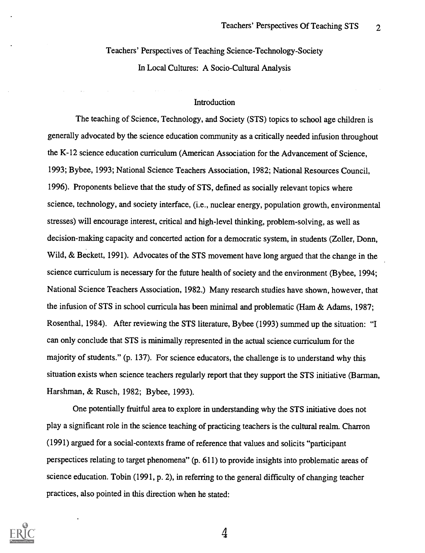## Teachers' Perspectives of Teaching Science-Technology-Society In Local Cultures: A Socio-Cultural Analysis

#### Introduction

The teaching of Science, Technology, and Society (STS) topics to school age children is generally advocated by the science education community as a critically needed infusion throughout the K-12 science education curriculum (American Association for the Advancement of Science, 1993; Bybee, 1993; National Science Teachers Association, 1982; National Resources Council, 1996). Proponents believe that the study of STS, defined as socially relevant topics where science, technology, and society interface, (i.e., nuclear energy, population growth, environmental stresses) will encourage interest, critical and high-level thinking, problem-solving, as well as decision-making capacity and concerted action for a democratic system, in students (Zoller, Donn, Wild, & Beckett, 1991). Advocates of the STS movement have long argued that the change in the science curriculum is necessary for the future health of society and the environment (Bybee, 1994; National Science Teachers Association, 1982.) Many research studies have shown, however, that the infusion of STS in school curricula has been minimal and problematic (Ham & Adams, 1987; Rosenthal, 1984). After reviewing the STS literature, Bybee (1993) summed up the situation: "I can only conclude that STS is minimally represented in the actual science curriculum for the majority of students." (p. 137). For science educators, the challenge is to understand why this situation exists when science teachers regularly report that they support the STS initiative (Barman, Harshman, & Rusch, 1982; Bybee, 1993).

One potentially fruitful area to explore in understanding why the STS initiative does not play a significant role in the science teaching of practicing teachers is the cultural realm. Charron (1991) argued for a social-contexts frame of reference that values and solicits "participant perspectices relating to target phenomena" (p. 611) to provide insights into problematic areas of science education. Tobin (1991, p. 2), in referring to the general difficulty of changing teacher practices, also pointed in this direction when he stated:

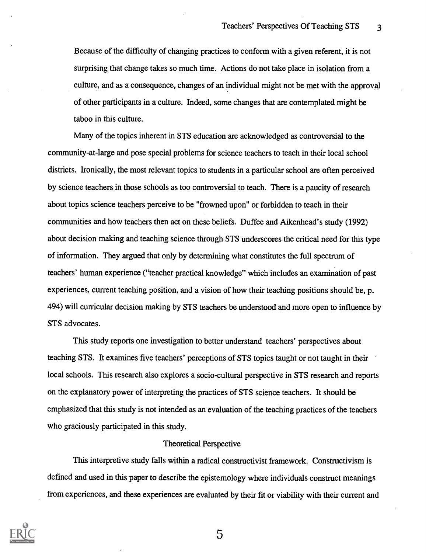Because of the difficulty of changing practices to conform with a given referent, it is not surprising that change takes so much time. Actions do not take place in isolation from a culture, and as a consequence, changes of an individual might not be met with the approval of other participants in a culture. Indeed, some changes that are contemplated might be taboo in this culture.

Many of the topics inherent in STS education are acknowledged as controversial to the community-at-large and pose special problems for science teachers to teach in their local school districts. Ironically, the most relevant topics to students in a particular school are often perceived by science teachers in those schools as too controversial to teach. There is a paucity of research about topics science teachers perceive to be "frowned upon" or forbidden to teach in their communities and how teachers then act on these beliefs. Duffee and Aikenhead's study (1992) about decision making and teaching science through STS underscores the critical need for this type of information. They argued that only by determining what constitutes the full spectrum of teachers' human experience ("teacher practical knowledge" which includes an examination of past experiences, current teaching position, and a vision of how their teaching positions should be, p. 494) will curricular decision making by STS teachers be understood and more open to influence by STS advocates.

This study reports one investigation to better understand teachers' perspectives about teaching STS. It examines five teachers' perceptions of STS topics taught or not taught in their local schools. This research also explores a socio-cultural perspective in STS research and reports on the explanatory power of interpreting the practices of STS science teachers. It should be emphasized that this study is not intended as an evaluation of the teaching practices of the teachers who graciously participated in this study.

#### Theoretical Perspective

This interpretive study falls within a radical constructivist framework. Constructivism is defined and used in this paper to describe the epistemology where individuals construct meanings from experiences, and these experiences are evaluated by their fit or viability with their current and

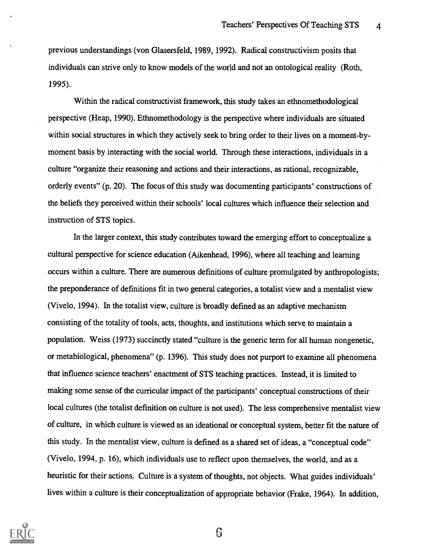4

previous understandings (von Glasersfeld, 1989, 1992). Radical constructivism posits that individuals can strive only to know models of the world and not an ontological reality (Roth, 1995).

Within the radical constructivist framework, this study takes an ethnomethodological perspective (Heap, 1990). Ethnomethodology is the perspective where individuals are situated within social structures in which they actively seek to bring order to their lives on a moment-bymoment basis by interacting with the social world. Through these interactions, individuals in a culture "organize their reasoning and actions and their interactions, as rational, recognizable, orderly events" (p. 20). The focus of this study was documenting participants' constructions of the beliefs they perceived within their schools' local cultures which influence their selection and instruction of STS topics.

In the larger context, this study contributes toward the emerging effort to conceptualize a cultural perspective for science education (Aikenhead, 1996), where all teaching and learning occurs within a culture. There are numerous definitions of culture promulgated by anthropologists; the preponderance of definitions fit in two general categories, a totalist view and a mentalist view (Vivelo, 1994). In the totalist view, culture is broadly defined as an adaptive mechanism consisting of the totality of tools, acts, thoughts, and institutions which serve to maintain a population. Weiss (1973) succinctly stated "culture is the generic term for all human nongenetic, or metabiological, phenomena" (p. 1396). This study does not purport to examine all phenomena that influence science teachers' enactment of STS teaching practices. Instead, it is limited to making some sense of the curricular impact of the participants' conceptual constructions of their local cultures (the totalist definition on culture is not used). The less comprehensive mentalist view of culture, in which culture is viewed as an ideational or conceptual system, better fit the nature of this study. In the mentalist view, culture is defined as a shared set of ideas, a "conceptual code" (Vivelo, 1994, p. 16), which individuals use to reflect upon themselves, the world, and as a heuristic for their actions. Culture is a system of thoughts, not objects. What guides individuals' lives within a culture is their conceptualization of appropriate behavior (Frake, 1964). In addition,

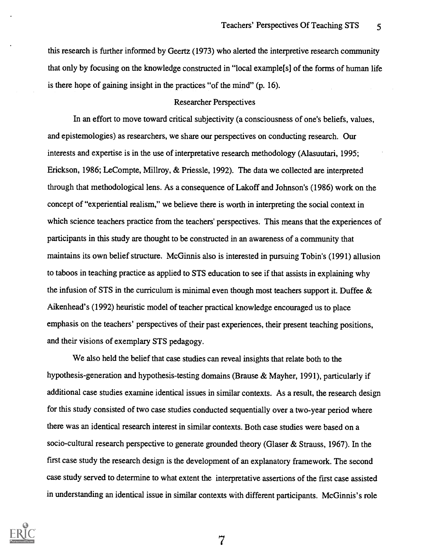this research is further informed by Geertz (1973) who alerted the interpretive research community that only by focusing on the knowledge constructed in "local example[s] of the forms of human life is there hope of gaining insight in the practices "of the mind" (p. 16).

#### Researcher Perspectives

In an effort to move toward critical subjectivity (a consciousness of one's beliefs, values, and epistemologies) as researchers, we share our perspectives on conducting research. Our interests and expertise is in the use of interpretative research methodology (Alasuutari, 1995; Erickson, 1986; LeCompte, Millroy, & Priessle, 1992). The data we collected are interpreted through that methodological lens. As a consequence of Lakoff and Johnson's (1986) work on the concept of "experiential realism," we believe there is worth in interpreting the social context in which science teachers practice from the teachers' perspectives. This means that the experiences of participants in this study are thought to be constructed in an awareness of a community that maintains its own belief structure. McGinnis also is interested in pursuing Tobin's (1991) allusion to taboos in teaching practice as applied to STS education to see if that assists in explaining why the infusion of STS in the curriculum is minimal even though most teachers support it. Duffee  $\&$ Aikenhead's (1992) heuristic model of teacher practical knowledge encouraged us to place emphasis on the teachers' perspectives of their past experiences, their present teaching positions, and their visions of exemplary STS pedagogy.

We also held the belief that case studies can reveal insights that relate both to the hypothesis-generation and hypothesis-testing domains (Brause & Mayher, 1991), particularly if additional case studies examine identical issues in similar contexts. As a result, the research design for this study consisted of two case studies conducted sequentially over a two-year period where there was an identical research interest in similar contexts. Both case studies were based on a socio-cultural research perspective to generate grounded theory (Glaser & Strauss, 1967). In the first case study the research design is the development of an explanatory framework. The second case study served to determine to what extent the interpretative assertions of the first case assisted in understanding an identical issue in similar contexts with different participants. McGinnis's role

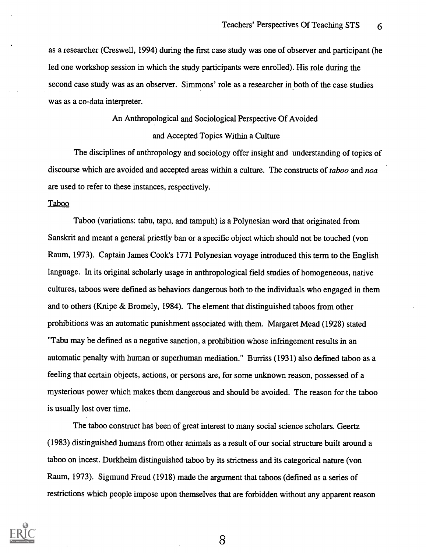as a researcher (Creswell, 1994) during the first case study was one of observer and participant (he led one workshop session in which the study participants were enrolled). His role during the second case study was as an observer. Simmons' role as a researcher in both of the case studies was as a co-data interpreter.

#### An Anthropological and Sociological Perspective Of Avoided

#### and Accepted Topics Within a Culture

The disciplines of anthropology and sociology offer insight and understanding of topics of discourse which are avoided and accepted areas within a culture. The constructs of taboo and noa are used to refer to these instances, respectively.

#### Taboo

Taboo (variations: tabu, tapu, and tampuh) is a Polynesian word that originated from Sanskrit and meant a general priestly ban or a specific object which should not be touched (von Raum, 1973). Captain James Cook's 1771 Polynesian voyage introduced this term to the English language. In its original scholarly usage in anthropological field studies of homogeneous, native cultures, taboos were defined as behaviors dangerous both to the individuals who engaged in them and to others (Knipe & Bromely, 1984). The element that distinguished taboos from other prohibitions was an automatic punishment associated with them. Margaret Mead (1928) stated "Tabu may be defined as a negative sanction, a prohibition whose infringement results in an automatic penalty with human or superhuman mediation." Burriss (1931) also defined taboo as a feeling that certain objects, actions, or persons are, for some unknown reason, possessed of a mysterious power which makes them dangerous and should be avoided. The reason for the taboo is usually lost over time.

The taboo construct has been of great interest to many social science scholars. Geertz (1983) distinguished humans from other animals as a result of our social structure built around a taboo on incest. Durkheim distinguished taboo by its strictness and its categorical nature (von Raum, 1973). Sigmund Freud (1918) made the argument that taboos (defined as a series of restrictions which people impose upon themselves that are forbidden without any apparent reason

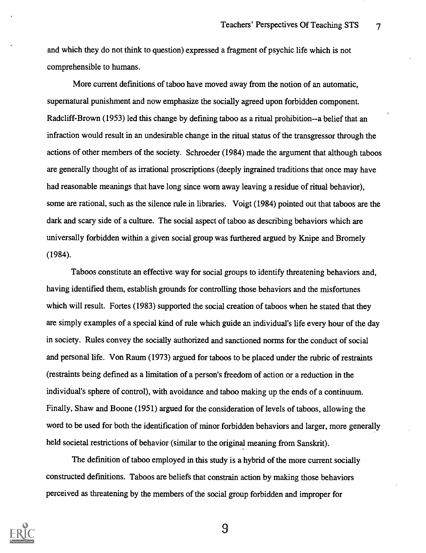and which they do not think to question) expressed a fragment of psychic life which is not comprehensible to humans.

More current definitions of taboo have moved away from the notion of an automatic, supernatural punishment and now emphasize the socially agreed upon forbidden component. Radcliff-Brown (1953) led this change by defining taboo as a ritual prohibition--a belief that an infraction would result in an undesirable change in the ritual status of the transgressor through the actions of other members of the society. Schroeder (1984) made the argument that although taboos are generally thought of as irrational proscriptions (deeply ingrained traditions that once may have had reasonable meanings that have long since worn away leaving a residue of ritual behavior), some are rational, such as the silence rule in libraries. Voigt (1984) pointed out that taboos are the dark and scary side of a culture. The social aspect of taboo as describing behaviors which are universally forbidden within .a given social group was furthered argued by Knipe and Bromely (1984).

Taboos constitute an effective way for social groups to identify threatening behaviors and, having identified them, establish grounds for controlling those behaviors and the misfortunes which will result. Fortes (1983) supported the social creation of taboos when he stated that they are simply examples of a special kind of rule which guide an individual's life every hour of the day in society. Rules convey the socially authorized and sanctioned norms for the conduct of social and personal life. Von Raum (1973) argued for taboos to be placed under the rubric of restraints (restraints being defined as a limitation of a person's freedom of action or a reduction in the individual's sphere of control), with avoidance and taboo making up the ends of a continuum. Finally, Shaw and Boone (1951) argued for the consideration of levels of taboos, allowing the word to be used for both the identification of minor forbidden behaviors and larger, more generally held societal restrictions of behavior (similar to the original meaning from Sanskrit).

The definition of taboo employed in this study is a hybrid of the more current socially constructed definitions. Taboos are beliefs that constrain action by making those behaviors perceived as threatening by the members of the social group forbidden and improper for

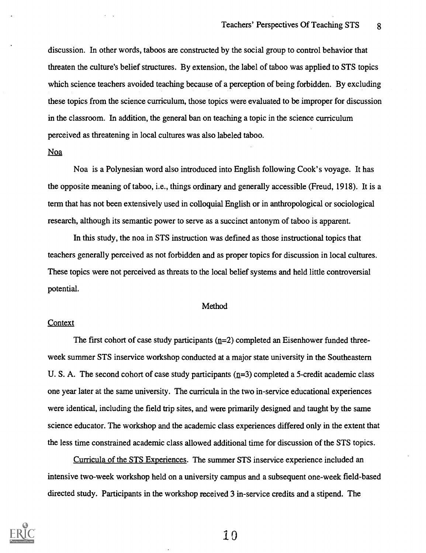discussion. In other words, taboos are constructed by the social group to control behavior that threaten the culture's belief structures. By extension, the label of taboo was applied to STS topics which science teachers avoided teaching because of a perception of being forbidden. By excluding these topics from the science curriculum, those topics were evaluated to be improper for discussion in the classroom. In addition, the general ban on teaching a topic in the science curriculum perceived as threatening in local cultures was also labeled taboo.

#### Noa

Noa is a Polynesian word also introduced into English following Cook's voyage. It has the opposite meaning of taboo, i.e., things ordinary and generally accessible (Freud, 1918). It is a term that has not been extensively used in colloquial English or in anthropological or sociological research, although its semantic power to serve as a succinct antonym of taboo is apparent.

In this study, the noa in STS instruction was defined as those instructional topics that teachers generally perceived as not forbidden and as proper topics for discussion in local cultures. These topics were not perceived as threats to the local belief systems and held little controversial potential.

#### Method

#### **Context**

The first cohort of case study participants ( $n=2$ ) completed an Eisenhower funded threeweek summer STS inservice workshop conducted at a major state university in the Southeastern U. S. A. The second cohort of case study participants ( $\underline{n}$ =3) completed a 5-credit academic class one year later at the same university. The curricula in the two in-service educational experiences were identical, including the field trip sites, and were primarily designed and taught by the same science educator. The workshop and the academic class experiences differed only in the extent that the less time constrained academic class allowed additional time for discussion of the STS topics.

Curricula of the STS Experiences. The summer STS inservice experience included an intensive two-week workshop held on a university campus and a subsequent one-week field-based directed study. Participants in the workshop received 3 in-service credits and a stipend. The

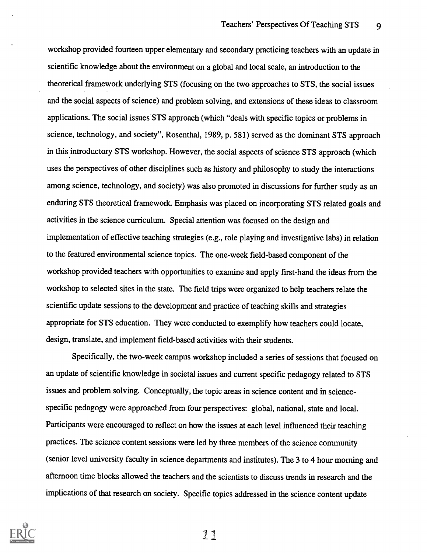workshop provided fourteen upper elementary and secondary practicing teachers with an update in scientific knowledge about the environment on a global and local scale, an introduction to the theoretical framework underlying STS (focusing on the two approaches to STS, the social issues and the social aspects of science) and problem solving, and extensions of these ideas to classroom applications. The social issues STS approach (which "deals with specific topics or problems in science, technology, and society", Rosenthal, 1989, p. 581) served as the dominant STS approach in this introductory STS workshop. However, the social aspects of science STS approach (which uses the perspectives of other disciplines such as history and philosophy to study the interactions among science, technology, and society) was also promoted in discussions for further study as an enduring STS theoretical framework. Emphasis was placed on incorporating STS related goals and activities in the science curriculum. Special attention was focused on the design and implementation of effective teaching strategies (e.g., role playing and investigative labs) in relation to the featured environmental science topics. The one-week field-based component of the workshop provided teachers with opportunities to examine and apply first-hand the ideas from the workshop to selected sites in the state. The field trips were organized to help teachers relate the scientific update sessions to the development and practice of teaching skills and strategies appropriate for STS education. They were conducted to exemplify how teachers could locate, design, translate, and implement field-based activities with their students.

Specifically, the two-week campus workshop included a series of sessions that focused on an update of scientific knowledge in societal issues and current specific pedagogy related to STS issues and problem solving. Conceptually, the topic areas in science content and in sciencespecific pedagogy were approached from four perspectives: global, national, state and local. Participants were encouraged to reflect on how the issues at each level influenced their teaching practices. The science content sessions were led by three members of the science community (senior level university faculty in science departments and institutes). The 3 to 4 hour morning and afternoon time blocks allowed the teachers and the scientists to discuss trends in research and the implications of that research on society. Specific topics addressed in the science content update



 $\frac{1}{3}$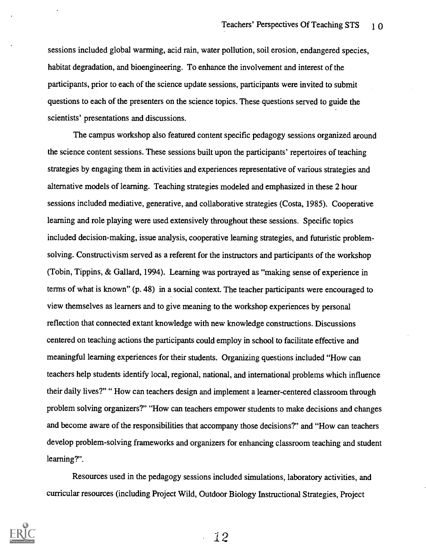sessions included global warming, acid rain, water pollution, soil erosion, endangered species, habitat degradation, and bioengineering. To enhance the involvement and interest of the participants, prior to each of the science update sessions, participants were invited to submit questions to each of the presenters on the science topics. These questions served to guide the scientists' presentations and discussions.

The campus workshop also featured content specific pedagogy sessions organized around the science content sessions. These sessions built upon the participants' repertoires of teaching strategies by engaging them in activities and experiences representative of various strategies and alternative models of learning. Teaching strategies modeled and emphasized in these 2 hour sessions included mediative, generative, and collaborative strategies (Costa, 1985). Cooperative learning and role playing were used extensively throughout these sessions. Specific topics included decision-making, issue analysis, cooperative learning strategies, and futuristic problemsolving. Constructivism served as a referent for the instructors and participants of the workshop (Tobin, Tippins, & Gallard, 1994). Learning was portrayed as "making sense of experience in terms of what is known" (p. 48) in a social context. The teacher participants were encouraged to view themselves as learners and to give meaning to the workshop experiences by personal reflection that connected extant knowledge with new knowledge constructions. Discussions centered on teaching actions the participants could employ in school to facilitate effective and meaningful learning experiences for their students. Organizing questions included "How can teachers help students identify local, regional, national, and international problems which influence their daily lives?" " How can teachers design and implement a learner-centered classroom through problem solving organizers?" "How can teachers empower students to make decisions and changes and become aware of the responsibilities that accompany those decisions?" and "How can teachers develop problem-solving frameworks and organizers for enhancing classroom teaching and student learning?".

Resources used in the pedagogy sessions included simulations, laboratory activities, and curricular resources (including Project Wild, Outdoor Biology Instructional Strategies, Project

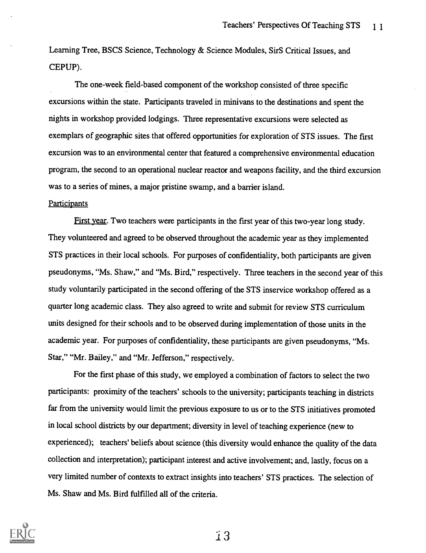Learning Tree, BSCS Science, Technology & Science Modules, SirS Critical Issues, and CEPUP).

The one-week field-based component of the workshop consisted of three specific excursions within the state. Participants traveled in minivans to the destinations and spent the nights in workshop provided lodgings. Three representative excursions were selected as exemplars of geographic sites that offered opportunities for exploration of STS issues. The first excursion was to an environmental center that featured a comprehensive environmental education program, the second to an operational nuclear reactor and weapons facility, and the third excursion was to a series of mines, a major pristine swamp, and a barrier island.

#### **Participants**

First year. Two teachers were participants in the first year of this two-year long study. They volunteered and agreed to be observed throughout the academic year as they implemented STS practices in their local schools. For purposes of confidentiality, both participants are given pseudonyms, "Ms. Shaw," and "Ms. Bird," respectively. Three teachers in the second year of this study voluntarily participated in the second offering of the STS inservice workshop offered as a quarter long academic class. They also agreed to write and submit for review STS curriculum units designed for their schools and to be observed during implementation of those units in the academic year. For purposes of confidentiality, these participants are given pseudonyms, "Ms. Star," "Mr. Bailey," and "Mr. Jefferson," respectively.

For the first phase of this study, we employed a combination of factors to select the two participants: proximity of the teachers' schools to the university; participants teaching in districts far from the university would limit the previous exposure to us or to the STS initiatives promoted in local school districts by our department; diversity in level of teaching experience (newto experienced); teachers' beliefs about science (this diversity would enhance the quality of the data collection and interpretation); participant interest and active involvement; and, lastly, focus on a very limited number of contexts to extract insights into teachers' STS practices. The selection of Ms. Shaw and Ms. Bird fulfilled all of the criteria.

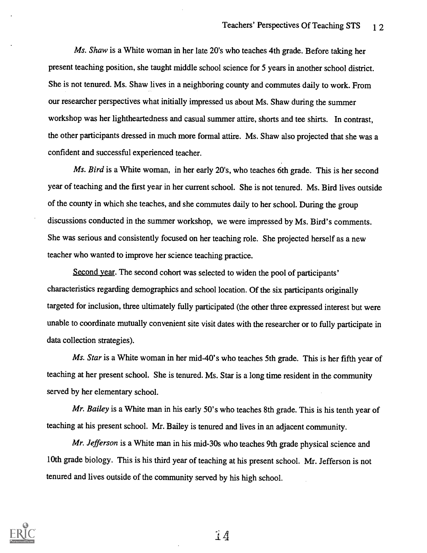Ms. Shaw is a White woman in her late 20's who teaches 4th grade. Before taking her present teaching position, she taught middle school science for 5 years in another school district. She is not tenured. Ms. Shaw lives in a neighboring county and commutes daily to work. From our researcher perspectives what initially impressed us about Ms. Shaw during the summer workshop was her lightheartedness and casual summer attire, shorts and tee shirts. In contrast, the other participants dressed in much more formal attire. Ms. Shaw also projected that shewas a confident and successful experienced teacher.

Ms. Bird is a White woman, in her early 20's, who teaches 6th grade. This is her second year of teaching and the first year in her current school. She is not tenured. Ms. Bird lives outside of the county in which she teaches, and she commutes daily to her school. During the group discussions conducted in the summer workshop, we were impressed by Ms. Bird's comments. She was serious and consistently focused on her teaching role. She projected herself as a new teacher who wanted to improve her science teaching practice.

Second year. The second cohort was selected to widen the pool of participants' characteristics regarding demographics and school location. Of the six participants originally targeted for inclusion, three ultimately fully participated (the other three expressed interest but were unable to coordinate mutually convenient site visit dates with the researcher or to fully participate in data collection strategies).

Ms. Star is a White woman in her mid-40's who teaches 5th grade. This is her fifth year of teaching at her present school. She is tenured. Ms. Star is a long time resident in the community served by her elementary school.

Mr. Bailey is a White man in his early 50's who teaches 8th grade. This is his tenth year of teaching at his present school. Mr. Bailey is tenured and lives in an adjacent community.

Mr. Jefferson is a White man in his mid-30s who teaches 9th grade physical science and 10th grade biology. This is his third year of teaching at his present school. Mr. Jefferson is not tenured and lives outside of the community served by his high school.



 $\overline{1}$   $\overline{4}$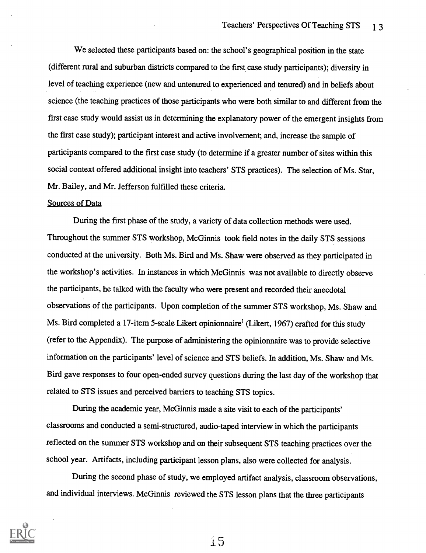We selected these participants based on: the school's geographical position in the state (different rural and suburban districts compared to the first case study participants); diversity in level of teaching experience (new and untenured to experienced and tenured) and in beliefs about science (the teaching practices of those participants who were both similar to and different from the first case study would assist us in determining the explanatory power of the emergent insights from the first case study); participant interest and active involvement; and, increase the sample of participants compared to the first case study (to determine if a greater number of sites within this social context offered additional insight into teachers' STS practices). The selection of Ms. Star, Mr. Bailey, and Mr. Jefferson fulfilled these criteria.

#### Sources of Data

During the first phase of the study, a variety of data collection methods were used. Throughout the summer STS workshop, McGinnis took field notes in the daily STS sessions conducted at the university. Both Ms. Bird and Ms. Shaw were observed as they participated in the workshop's activities. In instances in which McGinnis was not available to directly observe the participants, he talked with the faculty who were present and recorded their anecdotal observations of the participants. Upon completion of the summer STS workshop, Ms. Shaw and Ms. Bird completed a 17-item 5-scale Likert opinionnaire' (Likert, 1967) crafted for this study (refer to the Appendix). The purpose of administering the opinionnaire was to provide selective information on the participants' level of science and STS beliefs. In addition, Ms. Shaw and Ms. Bird gave responses to four open-ended survey questions during the last day of the workshop that related to STS issues and perceived barriers to teaching STS topics.

During the academic year, McGinnis made a site visit to each of the participants' classrooms and conducted a semi-structured, audio-taped interview in which the participants reflected on the summer STS workshop and on their subsequent STS teaching practices over the school year. Artifacts, including participant lesson plans, also were collected for analysis.

During the second phase of study, we employed artifact analysis, classroom observations, and individual interviews. McGinnis reviewed the STS lesson plans that the three participants

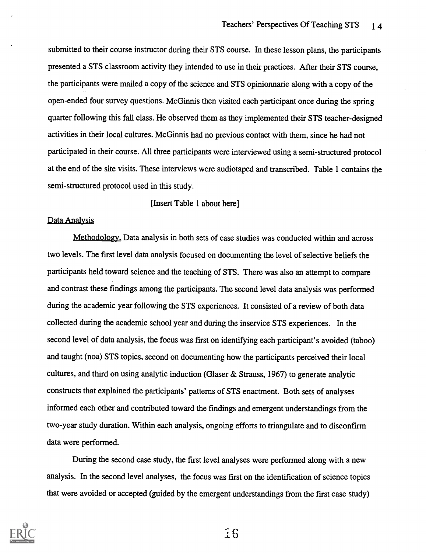submitted to their course instructor during their STS course. In these lesson plans, the participants presented a STS classroom activity they intended to use in their practices. After their STS course, the participants were mailed a copy of the science and STS opinionnarie along with a copy of the open-ended four survey questions. McGinnis then visited each participant once during the spring quarter following this fall class. He observed them as they implemented their STS teacher-designed activities in their local cultures. McGinnis had no previous contact with them, since he had not participated in their course. All three participants were interviewed using a semi-structured protocol at the end of the site visits. These interviews were audiotaped and transcribed. Table 1 contains the semi-structured protocol used in this study.

[Insert Table 1 about here]

#### Data Analysis

Methodology. Data analysis in both sets of case studies was conducted within and across two levels. The first level data analysis focused on documenting the level of selective beliefs the participants held toward science and the teaching of STS. There was also an attempt to compare and contrast these findings among the participants. The second level data analysis was performed during the academic year following the STS experiences. It consisted of a review of both data collected during the academic school year and during the inservice STS experiences. In the second level of data analysis, the focus was first on identifying each participant's avoided (taboo) and taught (noa) STS topics, second on documenting how the participants perceived their local cultures, and third on using analytic induction (Glaser & Strauss, 1967) to generate analytic constructs that explained the participants' patterns of STS enactment. Both sets of analyses informed each other and contributed toward the findings and emergent understandings from the two-year study duration. Within each analysis, ongoing efforts to triangulate and to disconfirm data were performed.

During the second case study, the first level analyses were performed along with a new analysis. In the second level analyses, the focus was first on the identification of science topics that were avoided or accepted (guided by the emergent understandings from the first case study)

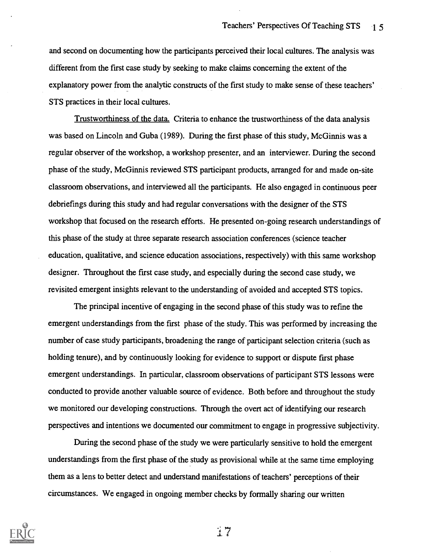and second on documenting how the participants perceived their local cultures. The analysis was different from the first case study by seeking to make claims concerning the extent of the explanatory power from the analytic constructs of the first study to make sense of these teachers' STS practices in their local cultures.

Trustworthiness of the data. Criteria to enhance the trustworthiness of the data analysis was based on Lincoln and Guba (1989). During the first phase of this study, McGinnis was a regular observer of the workshop, a workshop presenter, and an interviewer. During the second phase of the study, McGinnis reviewed STS participant products, arranged for and made on-site classroom observations, and interviewed all the participants. He also engaged in continuous peer debriefings during this study and had regular conversations with the designer of the STS workshop that focused on the research efforts. He presented on-going research understandings of this phase of the study at three separate research association conferences (science teacher education, qualitative, and science education associations, respectively) with this same workshop designer. Throughout the first case study, and especially during the second case study, we revisited emergent insights relevant to the understanding of avoided and accepted STS topics.

The principal incentive of engaging in the second phase of this study was to refine the emergent understandings from the first phase of the study. This was performed by increasing the number of case study participants, broadening the range of participant selection criteria (such as holding tenure), and by continuously looking for evidence to support or dispute first phase emergent understandings. In particular, classroom observations of participant STS lessons were conducted to provide another valuable source of evidence. Both before and throughout the study we monitored our developing constructions. Through the overt act of identifying our research perspectives and intentions we documented our commitment to engage in progressive subjectivity.

During the second phase of the study we were particularly sensitive to hold the emergent understandings from the first phase of the study as provisional while at the same time employing them as a lens to better detect and understand manifestations of teachers' perceptions of their circumstances. We engaged in ongoing member checks by formally sharing our written



イフ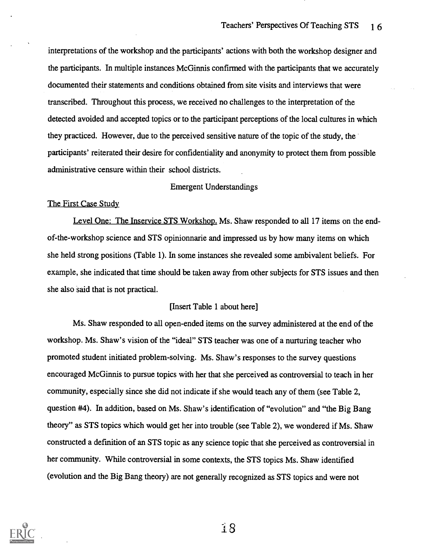interpretations of the workshop and the participants' actions with both the workshop designer and the participants. In multiple instances McGinnis confirmed with the participants that we accurately documented their statements and conditions obtained from site visits and interviews that were transcribed. Throughout this process, we received no challenges to the interpretation of the detected avoided and accepted topics or to the participant perceptions of the local cultures in which they practiced. However, due to the perceived sensitive nature of the topic of the study, the participants' reiterated their desire for confidentiality and anonymity to protect them from possible administrative censure within their school districts.

#### Emergent Understandings

#### The First Case Study

Level One: The Inservice STS Workshop. Ms. Shaw responded to all 17 items on the endof-the-workshop science and STS opinionnarie and impressed us by how many items on which she held strong positions (Table 1). In some instances she revealed some ambivalent beliefs. For example, she indicated that time should be taken away from other subjects for STS issues and then she also said that is not practical.

#### [Insert Table 1 about here]

Ms. Shaw responded to all open-ended items on the survey administered at the end of the workshop. Ms. Shaw's vision of the "ideal" STS teacher was one of a nurturing teacher who promoted student initiated problem-solving. Ms. Shaw's responses to the survey questions encouraged McGinnis to pursue topics with her that she perceived as controversial to teach in her community, especially since she did not indicate if she would teach any of them (see Table 2, question #4). In addition, based on Ms. Shaw's identification of "evolution" and "the Big Bang theory" as STS topics which would get her into trouble (see Table 2), we wondered if Ms. Shaw constructed a definition of an STS topic as any science topic that she perceived as controversial in her community. While controversial in some contexts, the STS topics Ms. Shaw identified (evolution and the Big Bang theory) are not generally recognized as STS topics and were not

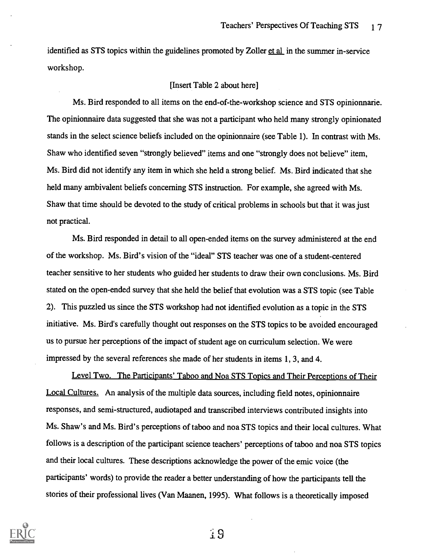identified as STS topics within the guidelines promoted by Zoller et al in the summer in-service workshop.

#### [Insert Table 2 about here]

Ms. Bird responded to all items on the end-of-the-workshop science and STS opinionnarie. The opinionnaire data suggested that she was not a participant who held many strongly opinionated stands in the select science beliefs included on the opinionnaire (see Table 1). In contrast with Ms. Shaw who identified seven "strongly believed" items and one "strongly does not believe" item, Ms. Bird did not identify any item in which she held a strong belief. Ms. Bird indicated that she held many ambivalent beliefs concerning STS instruction. For example, she agreed with Ms. Shaw that time should be devoted to the study of critical problems in schools but that it was just not practical.

Ms. Bird responded in detail to all open-ended items on the survey administered at the end of the workshop. Ms. Bird's vision of the "ideal" STS teacher was one of a student-centered teacher sensitive to her students who guided her students to draw their own conclusions. Ms. Bird stated on the open-ended survey that she held the belief that evolution was a STS topic (see Table 2). This puzzled us since the STS workshop had not identified evolution as a topic in the STS initiative. Ms. Bird's carefully thought out responses on the STS topics to be avoided encouraged us to pursue her perceptions of the impact of student age on curriculum selection. We were impressed by the several references she made of her students in items 1, 3, and 4.

Level Two. The Participants' Taboo and Noa STS Topics and Their Perceptions of Their Local Cultures. An analysis of the multiple data sources, including field notes, opinionnaire responses, and semi-structured, audiotaped and transcribed interviews contributed insights into Ms. Shaw's and Ms. Bird's perceptions of taboo and noa STS topics and their local cultures. What follows is a description of the participant science teachers' perceptions of taboo and noa STS topics and their local cultures. These descriptions acknowledge the power of the emic voice (the participants' words) to provide the reader a better understanding of how the participants tell the stories of their professional lives (Van Maanen, 1995). What follows is a theoretically imposed

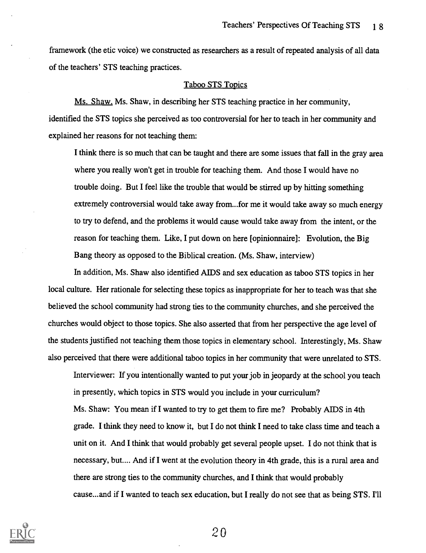framework (the etic voice) we constructed as researchers as a result of repeated analysis of all data of the teachers' STS teaching practices.

#### Taboo STS Topics

Ms. Shaw. Ms. Shaw, in describing her STS teaching practice in her community, identified the STS topics she perceived as too controversial for her to teach in her community and explained her reasons for not teaching them:

I think there is so much that can be taught and there are some issues that fall in the gray area where you really won't get in trouble for teaching them. And those I would have no trouble doing. But I feel like the trouble that would be stirred up by hitting something extremely controversial would take away from...for me it would take away so much energy to try to defend, and the problems it would cause would take away from the intent, or the reason for teaching them. Like, I put down on here [opinionnaire]: Evolution, the Big Bang theory as opposed to the Biblical creation. (Ms. Shaw, interview)

In addition, Ms. Shaw also identified AIDS and sex education as taboo STS topics in her local culture. Her rationale for selecting these topics as inappropriate for her to teach was that she believed the school community had strong ties to the community churches, and she perceived the churches would object to those topics. She also asserted that from her perspective the age level of the students justified not teaching them those topics in elementary school. Interestingly, Ms. Shaw also perceived that there were additional taboo topics in her community that were unrelated to STS.

Interviewer: If you intentionally wanted to put your job in jeopardy at the school you teach in presently, which topics in STS would you include in your curriculum?

Ms. Shaw: You mean if I wanted to try to get them to fire me? Probably AIDS in 4th grade. I think they need to know it, but I do not think I need to take class time and teach a unit on it. And I think that would probably get several people upset. I do not think that is necessary, but.... And if I went at the evolution theory in 4th grade, this is a rural area and there are strong ties to the community churches, and I think that would probably cause...and if I wanted to teach sex education, but I really do not see that as being STS. I'll



 $2<sub>0</sub>$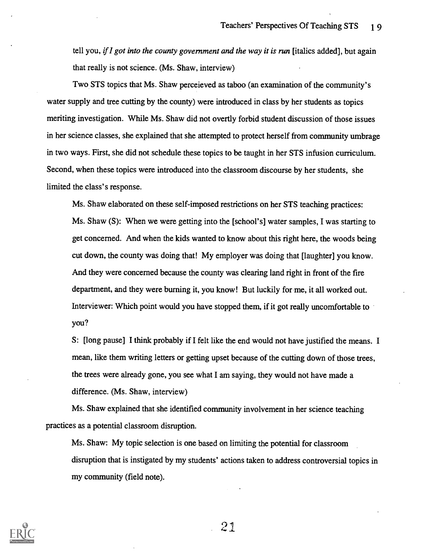tell you, if I got into the county government and the way it is run [italics added], but again that really is not science. (Ms. Shaw, interview)

Two STS topics that Ms. Shaw perceieved as taboo (an examination of the community's water supply and tree cutting by the county) were introduced in class by her students as topics meriting investigation. While Ms. Shaw did not overtly forbid student discussion of those issues in her science classes, she explained that she attempted to protect herself from community umbrage in two ways. First, she did not schedule these topics to be taught in her STS infusion curriculum. Second, when these topics were introduced into the classroom discourse by her students, she limited the class's response.

Ms. Shaw elaborated on these self-imposed restrictions on her STS teaching practices: Ms. Shaw (S): When we were getting into the [school's] water samples, I was starting to get concerned. And when the kids wanted to know about this right here, the woods being cut down, the county was doing that! My employer was doing that [laughter] you know. And they were concerned because the county was clearing land right in front of the fire department, and they were burning it, you know! But luckily for me, it all worked out. Interviewer: Which point would you have stopped them, if it got really uncomfortable to you?

S: [long pause] I think probably if I felt like the end would not have justified the means. I mean, like them writing letters or getting upset because of the cutting down of those trees, the trees were already gone, you see what I am saying, they would not have made a difference. (Ms. Shaw, interview)

Ms. Shaw explained that she identified community involvement in her science teaching practices as a potential classroom disruption.

Ms. Shaw: My topic selection is one based on limiting the potential for classroom disruption that is instigated by my students' actions taken to address controversial topics in my community (field note).

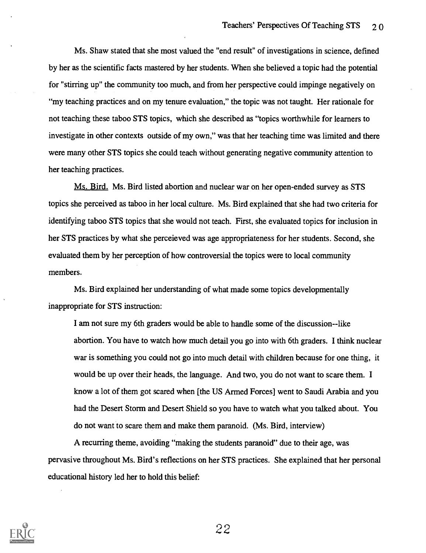Ms. Shaw stated that she most valued the "end result" of investigations in science, defined by her as the scientific facts mastered by her students. When she believed a topic had the potential for "stirring up" the community too much, and from her perspective could impinge negatively on "my teaching practices and on my tenure evaluation," the topic was not taught. Her rationale for not teaching these taboo STS topics, which she described as "topics worthwhile for learners to investigate in other contexts outside of my own," was that her teaching time was limited and there were many other STS topics she could teach without generating negative community attention to her teaching practices.

Ms. Bird. Ms. Bird listed abortion and nuclear war on her open-ended survey as STS topics she perceived as taboo in her local culture. Ms. Bird explained that she had two criteria for identifying taboo STS topics that she would not teach. First, she evaluated topics for inclusion in her STS practices by what she perceieved was age appropriateness for her students. Second, she evaluated them by her perception of how controversial the topics were to local community members.

Ms. Bird explained her understanding of what made some topics developmentally inappropriate for STS instruction:

I am not sure my 6th graders would be able to handle some of the discussion--like abortion. You have to watch how much detail you go into with 6th graders. I think nuclear war is something you could not go into much detail with children because for one thing, it would be up over their heads, the language. And two, you do not want to scare them. I know a lot of them got scared when [the US Armed Forces] went to Saudi Arabia and you had the Desert Storm and Desert Shield so you have to watch what you talked about. You do not want to scare them and make them paranoid. (Ms. Bird, interview)

A recurring theme, avoiding "making the students paranoid" due to their age, was pervasive throughout Ms. Bird's reflections on her STS practices. She explained that her personal educational history led her to hold this belief:

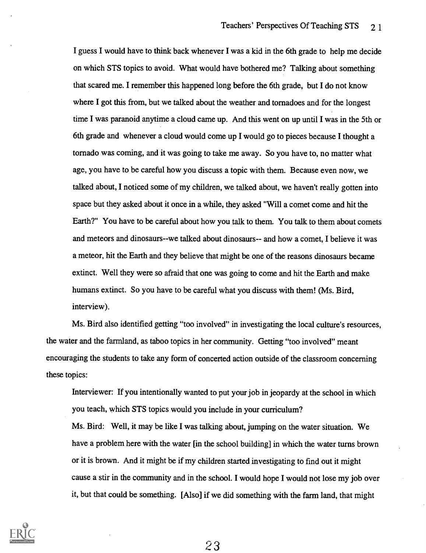I guess I would have to think back whenever I was a kid in the 6th grade to help me decide on which STS topics to avoid. What would have bothered me? Talking about something that scared me. I remember this happened long before the 6th grade, but I do not know where I got this from, but we talked about the weather and tornadoes and for the longest time I was paranoid anytime a cloud came up. And this went on up until I was in the 5th or 6th grade and whenever a cloud would come up I would go to pieces because I thought a tornado was coming, and it was going to take me away. So you have to, no matter what age, you have to be careful how you discuss a topic with them. Because even now, we talked about, I noticed some of my children, we talked about, we haven't really gotten into space but they asked about it once in a while, they asked "Will a comet come and hit the Earth?" You have to be careful about how you talk to them. You talk to them about comets and meteors and dinosaurs--we talked about dinosaurs-- and how a comet, I believe it was a meteor, hit the Earth and they believe that might be one of the reasons dinosaurs became extinct. Well they were so afraid that one was going to come and hit the Earth and make humans extinct. So you have to be careful what you discuss with them! (Ms. Bird, interview).

Ms. Bird also identified getting "too involved" in investigating the local culture's resources, the water and the farmland, as taboo topics in her community. Getting "too involved" meant encouraging the students to take any form of concerted action outside of the classroom concerning these topics:

Interviewer: If you intentionally wanted to put your job in jeopardy at the school in which you teach, which STS topics would you include in your curriculum?

Ms. Bird: Well, it may be like I was talking about, jumping on the water situation. We have a problem here with the water [in the school building] in which the water turns brown or it is brown. And it might be if my children started investigating to find out it might cause a stir in the community and in the school. I would hope I would not lose my job over it, but that could be something. [Also] if we did something with the farm land, that might

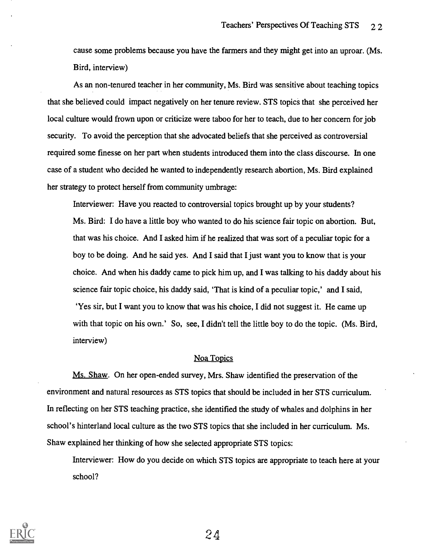cause some problems because you have the farmers and they might get into an uproar. (Ms. Bird, interview)

As an non-tenured teacher in her community, Ms. Bird was sensitive about teaching topics that she believed could impact negatively on her tenure review. STS topics that she perceived her local culture would frown upon or criticize were taboo for her to teach, due to her concern for job security. To avoid the perception that she advocated beliefs that she perceived as controversial required some finesse on her part when students introduced them into the class discourse. In one case of a student who decided he wanted to independently research abortion, Ms. Bird explained her strategy to protect herself from community umbrage:

Interviewer: Have you reacted to controversial topics brought up by your students? Ms. Bird: I do have a little boy who wanted to do his science fair topic on abortion. But, that was his choice. And I asked him if he realized that was sort of a peculiar topic for a boy to be doing. And he said yes. And I said that I just want you to know that is your choice. And when his daddy came to pick him up, and I was talking to his daddy about his science fair topic choice, his daddy said, 'That is kind of a peculiar topic,' and I said, `Yes sir, but I want you to know that was his choice, I did not suggest it. He came up with that topic on his own.' So, see, I didn't tell the little boy to do the topic. (Ms. Bird,

interview)

#### Noa Topics

Ms. Shaw. On her open-ended survey, Mrs. Shaw identified the preservation of the environment and natural resources as STS topics that should be included in her STS curriculum. In reflecting on her STS teaching practice, she identified the study of whales and dolphins in her school's hinterland local culture as the two STS topics that she included in her curriculum. Ms. Shaw explained her thinking of how she selected appropriate STS topics:

Interviewer: How do you decide on which STS topics are appropriate to teach here at your school?

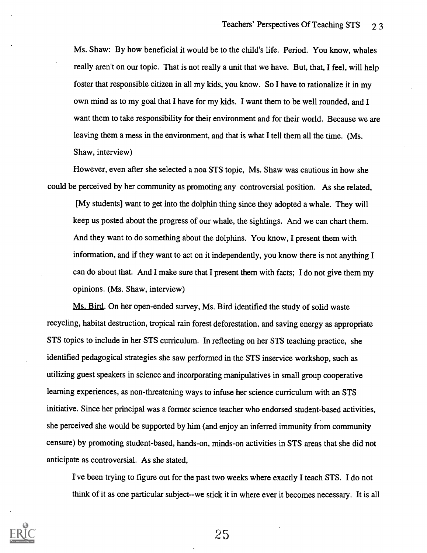Ms. Shaw: By how beneficial it would be to the child's life. Period. You know, whales really aren't on our topic. That is not really a unit that we have. But, that, I feel, will help foster that responsible citizen in all my kids, you know. So I have to rationalize it in my own mind as to my goal that I have for my kids. I want them to be well rounded, and I want them to take responsibility for their environment and for their world. Because we are leaving them a mess in the environment, and that is what I tell them all the time. (Ms. Shaw, interview)

However, even after she selected a noa STS topic, Ms. Shaw was cautious in how she could be perceived by her community as promoting any controversial position. As she related,

[My students] want to get into the dolphin thing since they adopted a whale. They will keep us posted about the progress of our whale, the sightings. And we can chart them. And they want to do something about the dolphins. You know, I present them with information, and if they want to act on it independently, you know there is not anything I can do about that. And I make sure that I present them with facts; I do not give them my opinions. (Ms. Shaw, interview)

Ms. Bird. On her open-ended survey, Ms. Bird identified the study of solid waste recycling, habitat destruction, tropical rain forest deforestation, and saving energy as appropriate STS topics to include in her STS curriculum. In reflecting on her STS teaching practice, she identified pedagogical strategies she saw performed in the STS inservice workshop, such as utilizing guest speakers in science and incorporating manipulatives in small group cooperative learning experiences, as non-threatening ways to infuse her science curriculum with an STS initiative. Since her principal was a former science teacher who endorsed student-based activities, she perceived she would be supported by him (and enjoy an inferred immunity from community censure) by promoting student-based, hands-on, minds-on activities in STS areas that she did not anticipate as controversial. As she stated,

I've been trying to figure out for the past two weeks where exactly I teach STS. I do not think of it as one particular subject--we stick it in where ever it becomes necessary. It is all

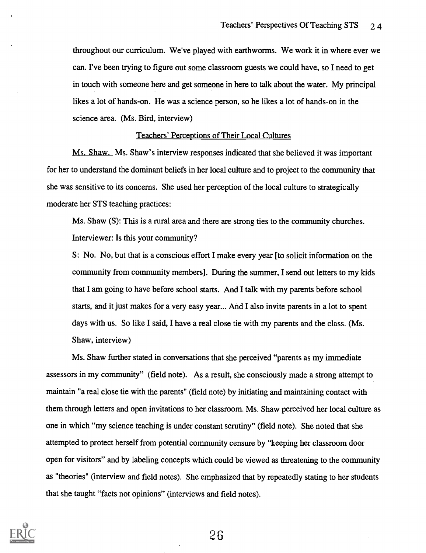throughout our curriculum. We've played with earthworms. We work it in where ever we can. I've been trying to figure out some classroom guests we could have, so I need to get in touch with someone here and get someone in here to talk about the water. My principal likes a lot of hands-on. He was a science person, so he likes a lot of hands-on in the science area. (Ms. Bird, interview)

#### Teachers' Perceptions of Their Local Cultures

Ms. Shaw. Ms. Shaw's interview responses indicated that she believed it was important for her to understand the dominant beliefs in her local culture and to project to the community that she was sensitive to its concerns. She used her perception of the local culture to strategically moderate her STS teaching practices:

Ms. Shaw (S): This is a rural area and there are strong ties to the community churches. Interviewer: Is this your community?

S: No. No, but that is a conscious effort I make every year [to solicit information on the community from community members]. During the summer, I send out letters to my kids that I am going to have before school starts. And I talk with my parents before school starts, and it just makes for a very easy year... And I also invite parents in a lot to spent days with us. So like I said, I have a real close tie with my parents and the class. (Ms. Shaw, interview)

Ms. Shaw further stated in conversations that she perceived "parents as my immediate assessors in my community" (field note). As a result, she consciously made a strong attempt to maintain "a real close tie with the parents" (field note) by initiating and maintaining contact with them through letters and open invitations to her classroom. Ms. Shaw perceived her local culture as one in which "my science teaching is under constant scrutiny" (field note). She noted that she attempted to protect herself from potential community censure by "keeping her classroom door open for visitors" and by labeling concepts which could be viewed as threatening to the community as "theories" (interview and field notes). She emphasized that by repeatedly stating to her students that she taught "facts not opinions" (interviews and field notes).

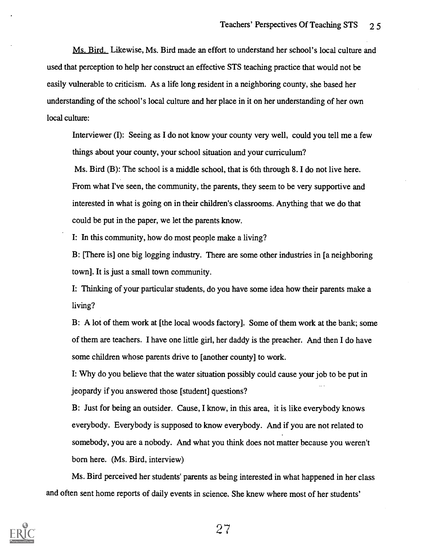Ms. Bird. Likewise, Ms. Bird made an effort to understand her school's local culture and used that perception to help her construct an effective STS teaching practice that would not be easily vulnerable to criticism. As a life long resident in a neighboring county, she based her understanding of the school's local culture and her place in it on her understanding of her own local culture:

Interviewer (I): Seeing as I do not know your county very well, could you tell me a few things about your county, your school situation and your curriculum?

Ms. Bird (B): The school is a middle school, that is 6th through 8. I do not live here. From what I've seen, the community, the parents, they seem to be very supportive and interested in what is going on in their children's classrooms. Anything that we do that could be put in the paper, we let the parents know.

I: In this community, how do most people make a living?

B: [There is] one big logging industry. There are some other industries in [a neighboring town]. It is just a small town community.

I: Thinking of your particular students, do you have some idea how their parents make a living?

B: A lot of them work at [the local woods factory]. Some of them work at the bank; some of them are teachers. I have one little girl, her daddy is the preacher. And then I do have some children whose parents drive to [another county] to work.

I: Why do you believe that the water situation possibly could cause your job to be put in jeopardy if you answered those [student] questions?

B: Just for being an outsider. Cause, I know, in this area, it is like everybody knows everybody. Everybody is supposed to know everybody. And if you are not related to somebody, you are a nobody. And what you think does not matter because you weren't born here. (Ms. Bird, interview)

Ms. Bird perceived her students' parents as being interested in what happened in her class and often sent home reports of daily events in science. She knew where most of her students'

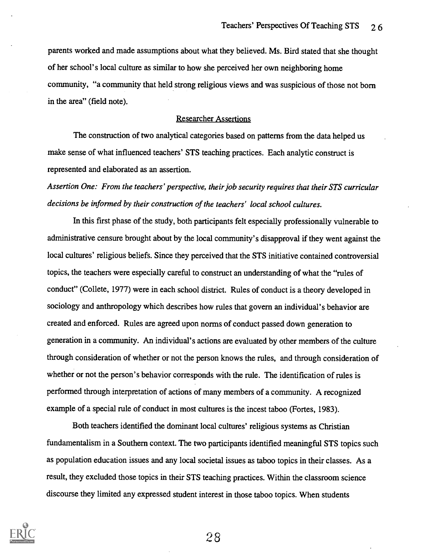parents worked and made assumptions about what they believed. Ms. Bird stated that she thought of her school's local culture as similar to how she perceived her own neighboring home community, "a community that held strong religious views and was suspicious of those not born in the area" (field note).

#### Researcher Assertions

The construction of two analytical categories based on patterns from the data helped us make sense of what influenced teachers' STS teaching practices. Each analytic construct is represented and elaborated as an assertion.

Assertion One: From the teachers' perspective, their job security requires that their STS curricular decisions be informed by their construction of the teachers' local school cultures.

In this first phase of the study, both participants felt especially professionally vulnerable to administrative censure brought about by the local community's disapproval if they went against the local cultures' religious beliefs. Since they perceived that the STS initiative contained controversial topics, the teachers were especially careful to construct an understanding of what the "rules of conduct" (Collete, 1977) were in each school district. Rules of conduct is a theory developed in sociology and anthropology which describes how rules that govern an individual's behavior are created and enforced. Rules are agreed upon norms of conduct passed down generation to generation in a community. An individual's actions are evaluated by other members of the culture through consideration of whether or not the person knows the rules, and through consideration of whether or not the person's behavior corresponds with the rule. The identification of rules is performed through interpretation of actions of many members of a community. A recognized example of a special rule of conduct in most cultures is the incest taboo (Fortes, 1983).

Both teachers identified the dominant local cultures' religious systems as Christian fundamentalism in a Southern context. The two participants identified meaningful STS topics such as population education issues and any local societal issues as taboo topics in their classes. As a result, they excluded those topics in their STS teaching practices. Within the classroom science discourse they limited any expressed student interest in those taboo topics. When students

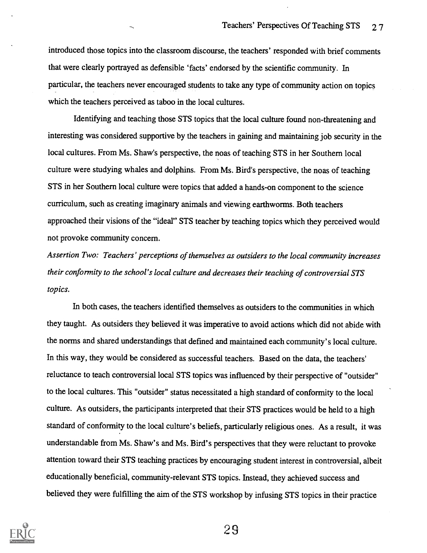introduced those topics into the classroom discourse, the teachers' responded with brief comments that were clearly portrayed as defensible 'facts' endorsed by the scientific community. In particular, the teachers never encouraged students to take any type of community action on topics which the teachers perceived as taboo in the local cultures.

Identifying and teaching those STS topics that the local culture found non-threatening and interesting was considered supportive by the teachers in gaining and maintaining job security in the local cultures. From Ms. Shaw's perspective, the noas of teaching STS in her Southern local culture were studying whales and dolphins. From Ms. Bird's perspective, the noas of teaching STS in her Southern local culture were topics that added a hands-on component to the science curriculum, such as creating imaginary animals and viewing earthworms. Both teachers approached their visions of the "ideal" STS teacher by teaching topics which they perceived would not provoke community concern.

Assertion Two: Teachers' perceptions of themselves as outsiders to the local community increases their conformity to the school's local culture and decreases their teaching of controversial STS topics.

In both cases, the teachers identified themselves as outsiders to the communities in which they taught. As outsiders they believed it was imperative to avoid actions which did not abide with the norms and shared understandings that defined and maintained each community's local culture. In this way, they would be considered as successful teachers. Based on the data, the teachers' reluctance to teach controversial local STS topics was influenced by their perspective of "outsider" to the local cultures. This "outsider" status necessitated a high standard of conformity to the local culture. As outsiders, the participants interpreted that their STS practices would be held to a high standard of conformity to the local culture's beliefs, particularly religious ones. As a result, it was understandable from Ms. Shaw's and Ms. Bird's perspectives that they were reluctant to provoke attention toward their STS teaching practices by encouraging student interest in controversial, albeit educationally beneficial, community-relevant STS topics. Instead, they achieved success and believed they were fulfilling the aim of the STS workshop by infusing STS topics in their practice

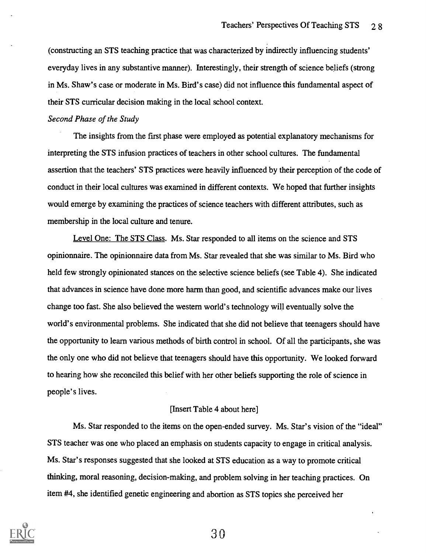(constructing an STS teaching practice that was characterized by indirectly influencing students' everyday lives in any substantive manner). Interestingly, their strength of science beliefs (strong in Ms. Shaw's case or moderate in Ms. Bird's case) did not influence this fundamental aspect of their STS curricular decision making in the local school context.

#### Second Phase of the Study

The insights from the first phase were employed as potential explanatory mechanisms for interpreting the STS infusion practices of teachers in other school cultures. The fundamental assertion that the teachers' STS practices were heavily influenced by their perception of the code of conduct in their local cultures was examined in different contexts. We hoped that further insights would emerge by examining the practices of science teachers with different attributes, such as membership in the local culture and tenure.

Level One: The STS Class. Ms. Star responded to all items on the science and STS opinionnaire. The opinionnaire data from Ms. Star revealed that she was similar to Ms. Bird who held few strongly opinionated stances on the selective science beliefs (see Table 4). She indicated that advances in science have done more harm than good, and scientific advances make our lives change too fast. She also believed the western world's technology will eventually solve the world's environmental problems. She indicated that she did not believe that teenagers should have the opportunity to learn various methods of birth control in school. Of all the participants, she was the only one who did not believe that teenagers should have this opportunity. We looked forward to hearing how she reconciled this belief with her other beliefs supporting the role of science in people's lives.

#### [Insert Table 4 about here]

Ms. Star responded to the items on the open-ended survey. Ms. Star's vision of the "ideal" STS teacher was one who placed an emphasis on students capacity to engage in critical analysis. Ms. Star's responses suggested that she looked at STS education as a way to promote critical thinking, moral reasoning, decision-making, and problem solving in her teaching practices. On item #4, she identified genetic engineering and abortion as STS topics she perceived her

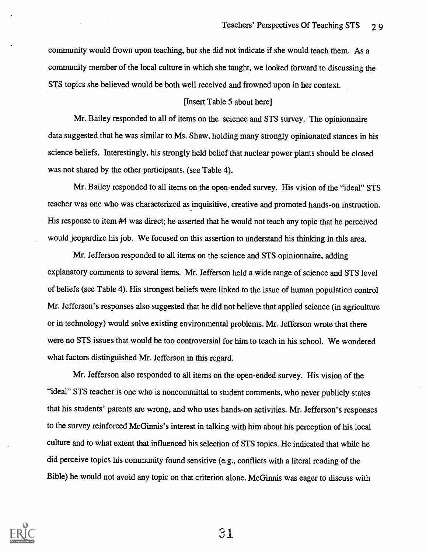community would frown upon teaching, but she did not indicate if she would teach them. As a community member of the local culture in which she taught, we looked forward to discussing the STS topics she believed would be both well received and frowned upon in her context.

#### [Insert Table 5 about here]

Mr. Bailey responded to all of items on the science and STS survey. The opinionnaire data suggested that he was similar to Ms. Shaw, holding many strongly opinionated stances in his science beliefs. Interestingly, his strongly held belief that nuclear power plants should be closed was not shared by the other participants. (see Table 4).

Mr. Bailey responded to all items on the open-ended survey. His vision of the "ideal" STS teacher was one who was characterized as inquisitive, creative and promoted hands-on instruction. His response to item #4 was direct; he asserted that he would not teach any topic that he perceived would jeopardize his job. We focused on this assertion to understand his thinking in this area.

Mr. Jefferson responded to all items on the science and STS opinionnaire, adding explanatory comments to several items. Mr. Jefferson held a wide range of science and STS level of beliefs (see Table 4). His strongest beliefs were linked to the issue of human population control Mr. Jefferson's responses also suggested that he did not believe that applied science (in agriculture or in technology) would solve existing environmental problems. Mr. Jefferson wrote that there were no STS issues that would be too controversial for him to teach in his school. We wondered what factors distinguished Mr. Jefferson in this regard.

Mr. Jefferson also responded to all items on the open-ended survey. His vision of the "ideal" STS teacher is one who is noncommittal to student comments, who never publicly states that his students' parents are wrong, and who uses hands-on activities. Mr. Jefferson's responses to the survey reinforced McGinnis's interest in talking with him about his perception of his local culture and to what extent that influenced his selection of STS topics. He indicated that while he did perceive topics his community found sensitive (e.g., conflicts with a literal reading of the Bible) he would not avoid any topic on that criterion alone. McGinnis was eager to discuss with

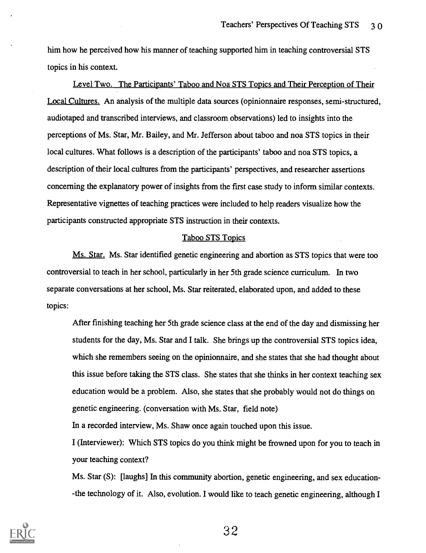him how he perceived how his manner of teaching supported him in teaching controversial STS topics in his context.

Level Two. The Participants' Taboo and Noa STS Topics and Their Perception of Their Local Cultures. An analysis of the multiple data sources (opinionnaire responses, semi-structured, audiotaped and transcribed interviews, and classroom observations) led to insights into the perceptions of Ms. Star, Mr. Bailey, and Mr. Jefferson about taboo and noa STS topics in their local cultures. What follows is a description of the participants' taboo and noa STS topics, a description of their local cultures from the participants' perspectives, and researcher assertions concerning the explanatory power of insights from the first case study to inform similar contexts. Representative vignettes of teaching practices were included to help readers visualize how the participants constructed appropriate STS instruction in their contexts.

#### Taboo STS Topics

Ms. Star. Ms. Star identified genetic engineering and abortion as STS topics that were too controversial to teach in her school, particularly in her 5th grade science curriculum. In two separate conversations at her school, Ms. Star reiterated, elaborated upon, and added to these topics:

After finishing teaching her 5th grade science class at the end of the day and dismissing her students for the day, Ms. Star and I talk. She brings up the controversial STS topics idea, which she remembers seeing on the opinionnaire, and she states that she had thought about this issue before taking the STS class. She states that she thinks in her context teaching sex education would be a problem. Also, she states that she probably would not do things on genetic engineering. (conversation with Ms. Star, field note)

In a recorded interview, Ms. Shaw once again touched upon this issue.

I (Interviewer): Which STS topics do you think might be frowned upon for you to teach in your teaching context?

Ms. Star (S): [laughs] In this community abortion, genetic engineering, and sex education- -the technology of it. Also, evolution. I would like to teach genetic engineering, although I

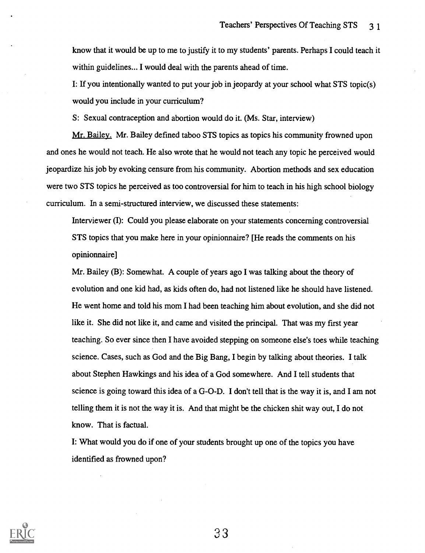know that it would be up to me to justify it to my students' parents. Perhaps I could teach it within guidelines... I would deal with the parents ahead of time.

I: If you intentionally wanted to put your job in jeopardy at your school what STS topic(s) would you include in your curriculum?

S: Sexual contraception and abortion would do it. (Ms. Star, interview)

Mr. Bailey. Mr. Bailey defined taboo STS topics as topics his community frowned upon and ones he would not teach. He also wrote that he would not teach any topic he perceived would jeopardize his job by evoking censure from his community. Abortion methods and sex education were two STS topics he perceived as too controversial for him to teach in his high school biology curriculum. In a semi-structured interview, we discussed these statements:

Interviewer (I): Could you please elaborate on your statements concerning controversial STS topics that you make here in your opinionnaire? [He reads the comments on his opinionnaire]

Mr. Bailey (B): Somewhat. A couple of years ago I was talking about the theory of evolution and one kid had, as kids often do, had not listened like he should have listened. He went home and told his mom I had been teaching him about evolution, and she did not like it. She did not like it, and came and visited the principal. That was my first year teaching. So ever since then I have avoided stepping on someone else's toes while teaching science. Cases, such as God and the Big Bang, I begin by talking about theories. I talk about Stephen Hawkings and his idea of a God somewhere. And I tell students that science is going toward this idea of a G-O-D. I don't tell that is the way it is, and I am not telling them it is not the way it is. And that might be the chicken shit way out, I do not know. That is factual.

I: What would you do if one of your students brought up one of the topics you have identified as frowned upon?

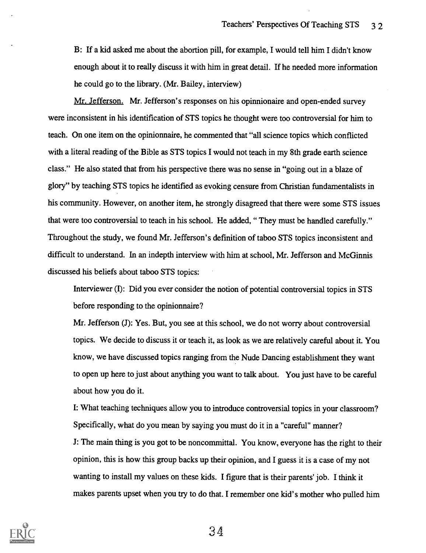B: If a kid asked me about the abortion pill, for example, I would tell him I didn't know enough about it to really discuss it with him in great detail. If he needed more information he could go to the library. (Mr. Bailey, interview)

Mr. Jefferson. Mr. Jefferson's responses on his opinnionaire and open-ended survey were inconsistent in his identification of STS topics he thought were too controversial for him to teach. On one item on the opinionnaire, he commented that "all science topics which conflicted with a literal reading of the Bible as STS topics I would not teach in my 8th grade earth science class." He also stated that from his perspective there was no sense in "going out in a blaze of glory" by teaching STS topics he identified as evoking censure from Christian fundamentalists in his community. However, on another item, he strongly disagreed that there were some STS issues that were too controversial to teach in his school. He added, " They must be handled carefully." Throughout the study, we found Mr. Jefferson's definition of taboo STS topics inconsistent and difficult to understand. In an indepth interview with him at school, Mr. Jefferson and McGinnis discussed his beliefs about taboo STS topics:

Interviewer (I): Did you ever consider the notion of potential controversial topics in STS before responding to the opinionnaire?

Mr. Jefferson (J): Yes. But, you see at this school, we do not worry about controversial topics. We decide to discuss it or teach it, as look as we are relatively careful about it. You know, we have discussed topics ranging from the Nude Dancing establishment they want to open up here to just about anything you want to talk about. You just have to be careful about how you do it.

I: What teaching techniques allow you to introduce controversial topics in your classroom? Specifically, what do you mean by saying you must do it in a "careful" manner? J: The main thing is you got to be noncommittal. You know, everyone has the right to their opinion, this is how this group backs up their opinion, and I guess it is a case of my not wanting to install my values on these kids. I figure that is their parents' job. I think it makes parents upset when you try to do that. I remember one kid's mother who pulled him

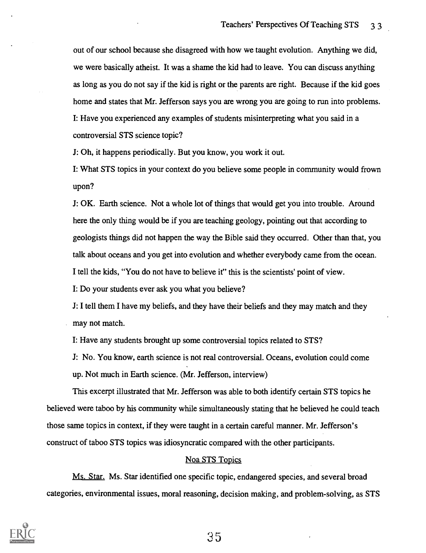out of our school because she disagreed with how we taught evolution. Anything we did, we were basically atheist. It was a shame the kid had to leave. You can discuss anything as long as you do not say if the kid is right or the parents are right. Because if the kid goes home and states that Mr. Jefferson says you are wrong you are going to run into problems. I: Have you experienced any examples of students misinterpreting what you said in a controversial STS science topic?

J: Oh, it happens periodically. But you know, you work it out.

I: What STS topics in your context do you believe some people in community would frown upon?

J: OK. Earth science. Not a whole lot of things that would get you into trouble. Around here the only thing would be if you are teaching geology, pointing out that according to geologists things did not happen the way the Bible said they occurred. Other than that, you talk about oceans and you get into evolution and whether everybody came from the ocean. I tell the kids, "You do not have to believe it" this is the scientists' point of view.

I: Do your students ever ask you what you believe?

J: I tell them I have my beliefs, and they have their beliefs and they may match and they may not match.

I: Have any students brought up some controversial topics related to STS?

J: No. You know, earth science is not real controversial. Oceans, evolution could come up. Not much in Earth science. (Mr. Jefferson, interview)

This excerpt illustrated that Mr. Jefferson was able to both identify certain STS topics he believed were taboo by his community while simultaneously stating that he believed he could teach those same topics in context, if they were taught in a certain careful manner. Mr. Jefferson's construct of taboo STS topics was idiosyncratic compared with the other participants.

#### Noa STS Topics

Ms. Star. Ms. Star identified one specific topic, endangered species, and several broad categories, environmental issues, moral reasoning, decision making, and problem-solving, as STS

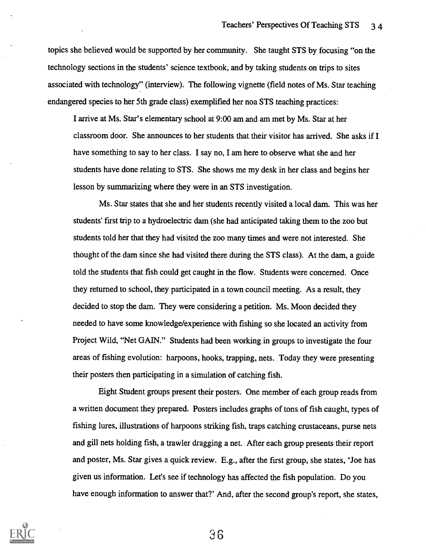topics she believed would be supported by her community. She taught STS by focusing "on the technology sections in the students' science textbook, and by taking students on trips to sites associated with technology" (interview). The following vignette (field notes of Ms. Star teaching endangered species to her 5th grade class) exemplified her noa STS teaching practices:

I arrive at Ms. Star's elementary school at 9:00 am and am met by Ms. Star at her classroom door. She announces to her students that their visitor has arrived. She asks if I have something to say to her class. I say no, I am here to observe what she and her students have done relating to STS. She shows me my desk in her class and begins her lesson by summarizing where they were in an STS investigation.

Ms. Star states that she and her students recently visited a local dam. This was her students' first trip to a hydroelectric dam (she had anticipated taking them to the zoo but students told her that they had visited the zoo many times and were not interested. She thought of the dam since she had visited there during the STS class). At the dam, a guide told the students that fish could get caught in the flow. Students were concerned. Once they returned to school, they participated in a town council meeting. As a result, they decided to stop the dam. They were considering a petition. Ms. Moon decided they needed to have some knowledge/experience with fishing so she located an activity from Project Wild, "Net GAIN." Students had been working in groups to investigate the four areas of fishing evolution: harpoons, hooks, trapping, nets. Today they were presenting their posters then participating in a simulation of catching fish.

Eight Student groups present their posters. One member of each group reads from a written document they prepared. Posters includes graphs of tons of fish caught, types of fishing lures, illustrations of harpoons striking fish, traps catching crustaceans, purse nets and gill nets holding fish, a trawler dragging a net. After each group presents their report and poster, Ms. Star gives a quick review. E.g., after the first group, she states, 'Joe has given us information. Let's see if technology has affected the fish population. Do you have enough information to answer that?' And, after the second group's report, she states,

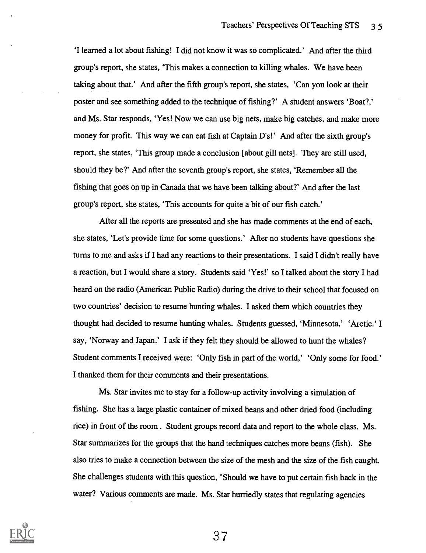`I learned a lot about fishing! I did not know it was so complicated.' And after the third group's report, she states, 'This makes a connection to killing whales. We have been taking about that.' And after the fifth group's report, she states, 'Can you look at their poster and see something added to the technique of fishing?' A student answers 'Boat?,' and Ms. Star responds, 'Yes! Now we can use big nets, make big catches, and make more money for profit. This way we can eat fish at Captain D's!' And after the sixth group's report, she states, 'This group made a conclusion [about gill nets]. They are still used, should they be?' And after the seventh group's report, she states, 'Remember all the fishing that goes on up in Canada that we have been talking about?' And after the last group's report, she states, 'This accounts for quite a bit of our fish catch.'

After all the reports are presented and she has made comments at the end of each, she states, 'Let's provide time for some questions.' After no students have questions she turns to me and asks if I had any reactions to their presentations. I said I didn't really have a reaction, but I would share a story. Students said 'Yes!' so I talked about the story I had heard on the radio (American Public Radio) during the drive to their school that focused on two countries' decision to resume hunting whales. I asked them which countries they thought had decided to resume hunting whales. Students guessed, 'Minnesota,' 'Arctic.' I say, 'Norway and Japan.' I ask if they felt they should be allowed to hunt the whales? Student comments I received were: 'Only fish in part of the world,' 'Only some for food.' I thanked them for their comments and their presentations.

Ms. Star invites me to stay for a follow-up activity involving a simulation of fishing. She has a large plastic container of mixed beans and other dried food (including rice) in front of the room . Student groups record data and report to the whole class. Ms. Star summarizes for the groups that the hand techniques catches more beans (fish). She also tries to make a connection between the size of the mesh and the size of the fish caught. She challenges students with this question, "Should we have to put certain fish back in the water? Various comments are made. Ms. Star hurriedly states that regulating agencies

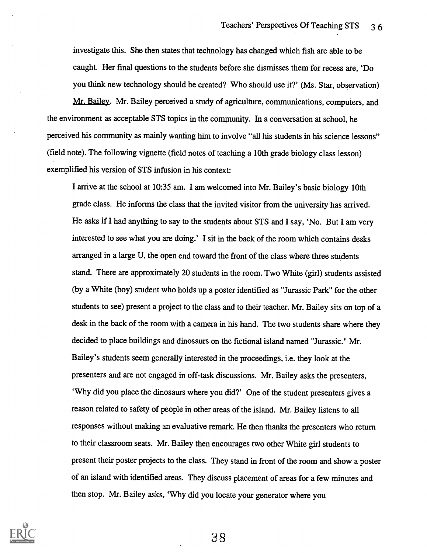investigate this. She then states that technology has changed which fish are able to be caught. Her final questions to the students before she dismisses them for recess are, 'Do you think new technology should be created? Who should use it?' (Ms. Star, observation)

Mr. Bailey. Mr. Bailey perceived a study of agriculture, communications, computers, and the environment as acceptable STS topics in the community. In a conversation at school, he perceived his community as mainly wanting him to involve "all his students in his science lessons" (field note). The following vignette (field notes of teaching a 10th grade biology class lesson) exemplified his version of STS infusion in his context:

I arrive at the school at 10:35 am. I am welcomed into Mr. Bailey's basic biology 10th grade class. He informs the class that the invited visitor from the university has arrived. He asks if I had anything to say to the students about STS and I say, 'No. But I am very interested to see what you are doing.' I sit in the back of the room which contains desks arranged in a large U, the open end toward the front of the class where three students stand. There are approximately 20 students in the room. Two White (girl) students assisted (by a White (boy) student who holds up a poster identified as "Jurassic Park" for the other students to see) present a project to the class and to their teacher. Mr. Bailey sits on top of a desk in the back of the room with a camera in his hand. The two students share where they decided to place buildings and dinosaurs on the fictional island named "Jurassic." Mr. Bailey's students seem generally interested in the proceedings, i.e. they look at the presenters and are not engaged in off-task discussions. Mr. Bailey asks the presenters, `Why did you place the dinosaurs where you did?' One of the student presenters gives a reason related to safety of people in other areas of the island. Mr. Bailey listens to all responses without making an evaluative remark. He then thanks the presenters who return to their classroom seats. Mr. Bailey then encourages two other White girl students to present their poster projects to the class. They stand in front of the room and show a poster of an island with identified areas. They discuss placement of areas for a few minutes and then stop. Mr. Bailey asks, 'Why did you locate your generator where you

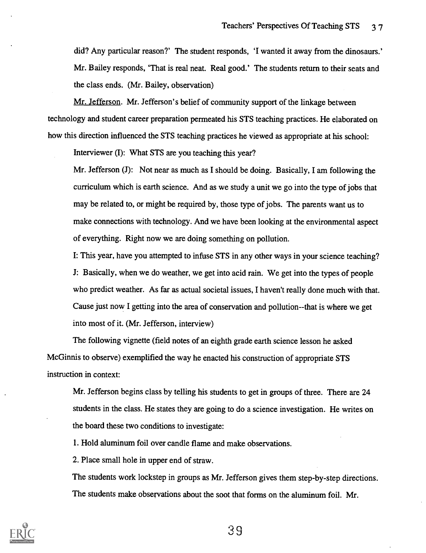did? Any particular reason?' The student responds, 'I wanted it away from the dinosaurs.' Mr. Bailey responds, 'That is real neat. Real good.' The students return to their seats and the class ends. (Mr. Bailey, observation)

Mr, Jefferson. Mr. Jefferson's belief of community support of the linkage between technology and student career preparation permeated his STS teaching practices. He elaborated on how this direction influenced the STS teaching practices he viewed as appropriate at his school:

Interviewer (I): What STS are you teaching this year?

Mr. Jefferson (J): Not near as much as I should be doing. Basically, I am following the curriculum which is earth science. And as we study a unit we go into the type of jobs that may be related to, or might be required by, those type of jobs. The parents want us to make connections with technology. And we have been looking at the environmental aspect of everything. Right now we are doing something on pollution.

I: This year, have you attempted to infuse STS in any other ways in your science teaching? J: Basically, when we do weather, we get into acid rain. We get into the types of people who predict weather. As far as actual societal issues, I haven't really done much with that. Cause just now I getting into the area of conservation and pollution -that is where we get into most of it. (Mr. Jefferson, interview)

The following vignette (field notes of an eighth grade earth science lesson he asked McGinnis to observe) exemplified the way he enacted his construction of appropriate STS instruction in context:

Mr. Jefferson begins class by telling his students to get in groups of three. There are 24 students in the class. He states they are going to do a science investigation. He writes on the board these two conditions to investigate:

1. Hold aluminum foil over candle flame and make observations.

2. Place small hole in upper end of straw.

The students work lockstep in groups as Mr. Jefferson gives them step-by-step directions. The students make observations about the soot that forms on the aluminum foil. Mr.

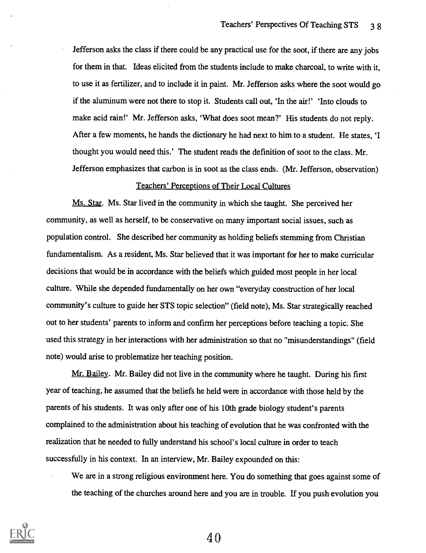Jefferson asks the class if there could be any practical use for the soot, if there are any jobs for them in that. Ideas elicited from the students include to make charcoal, to write with it, to use it as fertilizer, and to include it in paint. Mr. Jefferson asks where the soot would go if the aluminum were not there to stop it. Students call out, 'In the air!' 'Into clouds to make acid rain!' Mr. Jefferson asks, 'What does soot mean?' His students do not reply. After a few moments, he hands the dictionary he had next to him to a student. He states, 'I thought you would need this.' The student reads the definition of soot to the class. Mr. Jefferson emphasizes that carbon is in soot as the class ends. (Mr. Jefferson, observation)

#### Teachers' Perceptions of Their Local Cultures

Ms. Star. Ms. Star lived in the community in which she taught. She perceived her community, as well as herself, to be conservative on many important social issues, such as population control. She described her community as holding beliefs stemming from Christian fundamentalism. As a resident, Ms. Star believed that it was important for her to make curricular decisions that would be in accordance with the beliefs which guided most people in her local culture. While she depended fundamentally on her own "everyday construction of her local community's culture to guide her STS topic selection" (field note), Ms. Star strategically reached out to her students' parents to inform and confirm her perceptions before teaching a topic. She used this strategy in her interactions with her administration so that no "misunderstandings" (field note) would arise to problematize her teaching position.

Mr. Bailey. Mr. Bailey did not live in the community where he taught. During his first year of teaching, he assumed that the beliefs he held were in accordance with those held by the parents of his students. It was only after one of his 10th grade biology student's parents complained to the administration about his teaching of evolution that he was confronted with the realization that he needed to fully understand his school's local culture in order to teach successfully in his context. In an interview, Mr. Bailey expounded on this:

We are in a strong religious environment here. You do something that goes against some of the teaching of the churches around here and you are in trouble. If you push evolution you

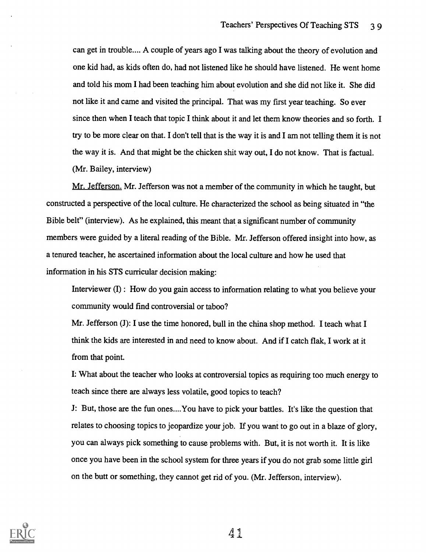can get in trouble.... A couple of years ago I was talking about the theory of evolution and one kid had, as kids often do, had not listened like he should have listened. He went home and told his mom I had been teaching him about evolution and she did not like it. She did not like it and came and visited the principal. That was my first year teaching. So ever since then when I teach that topic I think about it and let them know theories and so forth. I try to be more clear on that. I don't tell that is the way it is and I am not telling them it is not the way it is. And that might be the chicken shit way out, I do not know. That is factual. (Mr. Bailey, interview)

Mr. Jefferson. Mr. Jefferson was not a member of the community in which he taught, but constructed a perspective of the local culture. He characterized the school as being situated in "the Bible belt" (interview). As he explained, this meant that a significant number of community members were guided by a literal reading of the Bible. Mr. Jefferson offered insight into how, as a tenured teacher, he ascertained information about the local culture and how he used that information in his STS curricular decision making:

Interviewer (I) : How do you gain access to information relating to what you believe your community would find controversial or taboo?

Mr. Jefferson (J): I use the time honored, bull in the china shop method. I teach what I think the kids are interested in and need to know about. And if I catch flak, I work at it from that point.

I: What about the teacher who looks at controversial topics as requiring too much energy to teach since there are always less volatile, good topics to teach?

J: But, those are the fun ones....You have to pick your battles. It's like the question that relates to choosing topics to jeopardize your job. If you want to go out in a blaze of glory, you can always pick something to cause problems with. But, it is not worth it. It is like once you have been in the school system for three years if you do not grab some little girl on the butt or something, they cannot get rid of you. (Mr. Jefferson, interview).



 $\Delta$  1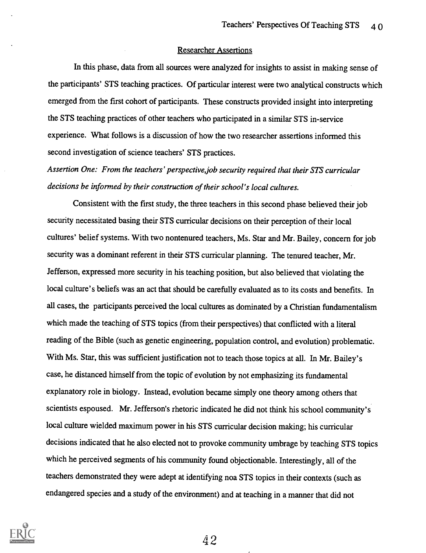#### Researcher Assertions

In this phase, data from all sources were analyzed for insights to assist in making sense of the participants' STS teaching practices. Of particular interest were two analytical constructs which emerged from the first cohort of participants. These constructs provided insight into interpreting the STS teaching practices of other teachers who participated in a similar STS in-service experience. What follows is a discussion of how the two researcher assertions informed this second investigation of science teachers' STS practices.

Assertion One: From the teachers' perspective,job security required that their STS curricular decisions be informed by their construction of their school's local cultures.

Consistent with the first study, the three teachers in this second phase believed their job security necessitated basing their STS curricular decisions on their perception of their local cultures' belief systems. With two nontenured teachers, Ms. Star and Mr. Bailey, concern for job security was a dominant referent in their STS curricular planning. The tenured teacher, Mr. Jefferson, expressed more security in his teaching position, but also believed that violating the local culture's beliefs was an act that should be carefully evaluated as to its costs and benefits. In all cases, the participants perceived the local cultures as dominated by a Christian fundamentalism which made the teaching of STS topics (from their perspectives) that conflicted with a literal reading of the Bible (such as genetic engineering, population control, and evolution) problematic. With Ms. Star, this was sufficient justification not to teach those topics at all. In Mr. Bailey's case, he distanced himself from the topic of evolution by not emphasizing its fundamental explanatory role in biology. Instead, evolution became simply one theory among others that scientists espoused. Mr. Jefferson's rhetoric indicated he did not think his school community's local culture wielded maximum power in his STS curricular decision making; his curricular decisions indicated that he also elected not to provoke community umbrage by teaching STS topics which he perceived segments of his community found objectionable. Interestingly, all of the teachers demonstrated they were adept at identifying noa STS topics in their contexts (such as endangered species and a study of the environment) and at teaching in a manner that did not

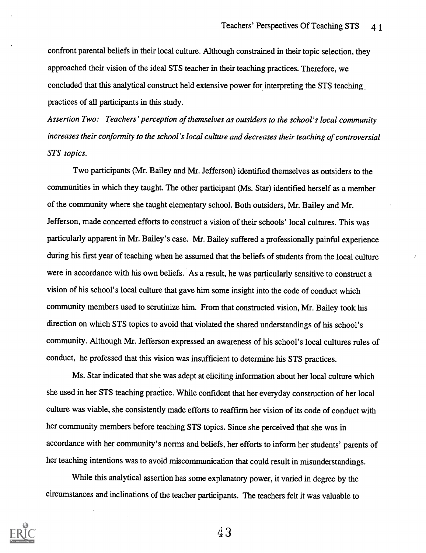confront parental beliefs in their local culture. Although constrained in their topic selection, they approached their vision of the ideal STS teacher in their teaching practices. Therefore, we concluded that this analytical construct held extensive power for interpreting the STS teaching practices of all participants in this study.

Assertion Two: Teachers' perception of themselves as outsiders to the school's local community increases their conformity to the school's local culture and decreases their teaching of controversial STS topics.

Two participants (Mr. Bailey and Mr. Jefferson) identified themselves as outsiders to the communities in which they taught. The other participant (Ms. Star) identified herself as a member of the community where she taught elementary school. Both outsiders, Mr. Bailey and Mr. Jefferson, made concerted efforts to construct a vision of their schools' local cultures. This was particularly apparent in Mr. Bailey's case. Mr. Bailey suffered a professionally painful experience during his first year of teaching when he assumed that the beliefs of students from the local culture were in accordance with his own beliefs. As a result, he was particularly sensitive to construct a vision of his school's local culture that gave him some insight into the code of conduct which community members used to scrutinize him. From that constructed vision, Mr. Bailey took his direction on which STS topics to avoid that violated the shared understandings of his school's community. Although Mr. Jefferson expressed an awareness of his school's local cultures rules of conduct, he professed that this vision was insufficient to determine his STS practices.

Ms. Star indicated that she was adept at eliciting information about her local culture which she used in her STS teaching practice. While confident that her everyday construction of her local culture was viable, she consistently made efforts to reaffirm her vision of its code of conduct with her community members before teaching STS topics. Since she perceived that shewas in accordance with her community's norms and beliefs, her efforts to inform her students' parents of her teaching intentions was to avoid miscommunication that could result in misunderstandings.

While this analytical assertion has some explanatory power, it varied in degree by the circumstances and inclinations of the teacher participants. The teachers felt it was valuable to

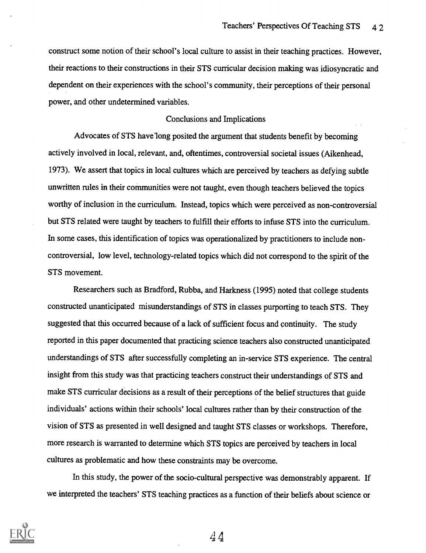construct some notion of their school's local culture to assist in their teaching practices. However, their reactions to their constructions in their STS curricular decision making was idiosyncratic and dependent on their experiences with the school's community, their perceptions of their personal power, and other undetermined variables.

#### Conclusions and Implications

Advocates of STS have long posited the argument that students benefit by becoming actively involved in local, relevant, and, oftentimes, controversial societal issues (Aikenhead, 1973). We assert that topics in local cultures which are perceived by teachers as defying subtle unwritten rules in their communities were not taught, even though teachers believed the topics worthy of inclusion in the curriculum. Instead, topics which were perceived as non-controversial but STS related were taught by teachers to fulfill their efforts to infuse STS into the curriculum. In some cases, this identification of topics was operationalized by practitioners to include noncontroversial, low level, technology-related topics which did not correspond to the spirit of the STS movement.

Researchers such as Bradford, Rubba, and Harkness (1995) noted that college students constructed unanticipated misunderstandings of STS in classes purporting to teach STS. They suggested that this occurred because of a lack of sufficient focus and continuity. The study reported in this paper documented that practicing science teachers also constructed unanticipated understandings of STS after successfully completing an in-service STS experience. The central insight from this study was that practicing teachers construct their understandings of STS and make STS curricular decisions as a result of their perceptions of the belief structures that guide individuals' actions within their schools' local cultures rather than by their construction of the vision of STS as presented in well designed and taught STS classes or workshops. Therefore, more research is warranted to determine which STS topics are perceived by teachers in local cultures as problematic and how these constraints may be overcome.

In this study, the power of the socio-cultural perspective was demonstrably apparent. If we interpreted the teachers' STS teaching practices as a function of their beliefs about science or

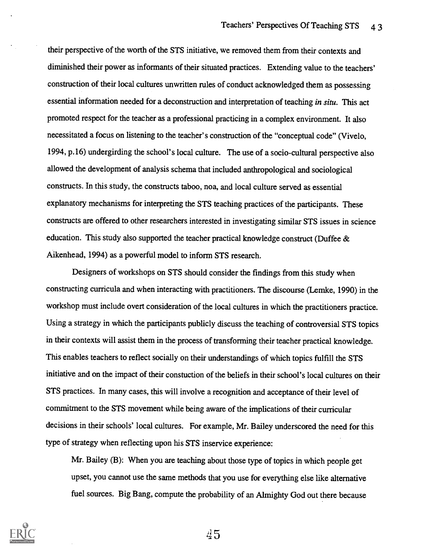their perspective of the worth of the STS initiative, we removed them from their contexts and diminished their power as informants of their situated practices. Extending value to the teachers' construction of their local cultures unwritten rules of conduct acknowledged them as possessing essential information needed for a deconstruction and interpretation of teaching in situ. This act promoted respect for the teacher as a professional practicing in a complex environment. It also necessitated a focus on listening to the teacher's construction of the "conceptual code" (Vivelo, 1994, p.16) undergirding the school's local culture. The use of a socio-cultural perspective also allowed the development of analysis schema that included anthropological and sociological constructs. In this study, the constructs taboo, noa, and local culture served as essential explanatory mechanisms for interpreting the STS teaching practices of the participants. These constructs are offered to other researchers interested in investigating similar STS issues in science education. This study also supported the teacher practical knowledge construct (Duffee & Aikenhead, 1994) as a powerful model to inform STS research.

Designers of workshops on STS should consider the findings from this study when constructing curricula and when interacting with practitioners. The discourse (Lemke, 1990) in the workshop must include overt consideration of the local cultures in which the practitioners practice. Using a strategy in which the participants publicly discuss the teaching of controversial STS topics in their contexts will assist them in the process of transforming their teacher practical knowledge. This enables teachers to reflect socially on their understandings of which topics fulfill the STS initiative and on the impact of their constuction of the beliefs in their school's local cultures on their STS practices. In many cases, this will involve a recognition and acceptance of their level of commitment to the STS movement while being aware of the implications of their curricular decisions in their schools' local cultures. For example, Mr. Bailey underscored the need for this type of strategy when reflecting upon his STS inservice experience:

Mr. Bailey (B): When you are teaching about those type of topics in which people get upset, you cannot use the same methods that you use for everything else like alternative fuel sources. Big Bang, compute the probability of an Almighty God out there because

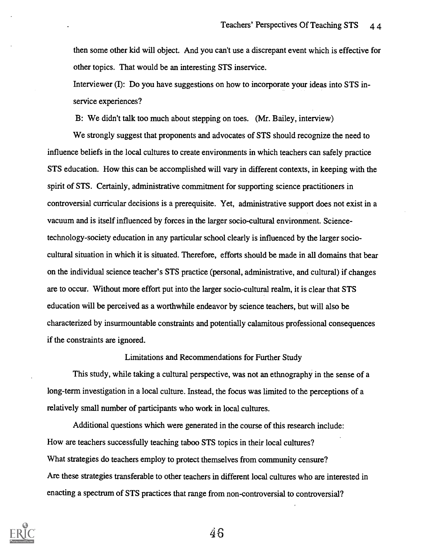then some other kid will object. And you can't use a discrepant event which is effective for other topics. That would be an interesting STS inservice.

Interviewer (I): Do you have suggestions on how to incorporate your ideas into STS inservice experiences?

B: We didn't talk too much about stepping on toes. (Mr. Bailey, interview)

We strongly suggest that proponents and advocates of STS should recognize the need to influence beliefs in the local cultures to create environments in which teachers can safely practice STS education. How this can be accomplished will vary in different contexts, in keeping with the spirit of STS. Certainly, administrative commitment for supporting science practitioners in controversial curricular decisions is a prerequisite. Yet, administrative support does not exist in a vacuum and is itself influenced by forces in the larger socio-cultural environment. Sciencetechnology-society education in any particular school clearly is influenced by the larger sociocultural situation in which it is situated. Therefore, efforts should be made in all domains that bear on the individual science teacher's STS practice (personal, administrative, and cultural) if changes are to occur. Without more effort put into the larger socio-cultural realm, it is clear that STS education will be perceived as a worthwhile endeavor by science teachers, but will also be characterized by insurmountable constraints and potentially calamitous professional consequences if the constraints are ignored.

#### Limitations and Recommendations for Further Study

This study, while taking a cultural perspective, was not an ethnography in the sense of a long-term investigation in a local culture. Instead, the focus was limited to the perceptions of a relatively small number of participants who work in local cultures.

Additional questions which were generated in the course of this research include: How are teachers successfully teaching taboo STS topics in their local cultures? What strategies do teachers employ to protect themselves from community censure? Are these strategies transferable to other teachers in different local cultures who are interested in enacting a spectrum of STS practices that range from non-controversial to controversial?

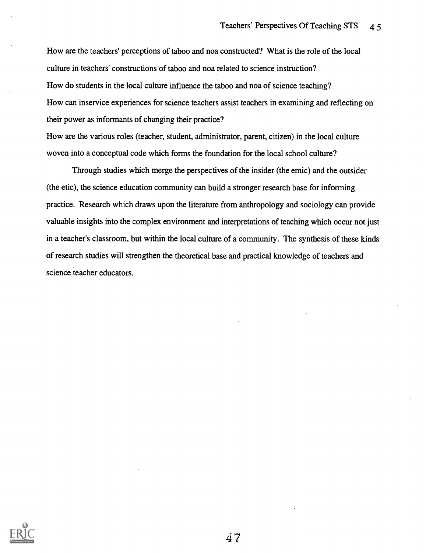How are the teachers' perceptions of taboo and noa constructed? What is the role of the local culture in teachers' constructions of taboo and noa related to science instruction? How do students in the local culture influence the taboo and noa of science teaching? How can inservice experiences for science teachers assist teachers in examining and reflecting on their power as informants of changing their practice?

How are the various roles (teacher, student, administrator, parent, citizen) in the local culture woven into a conceptual code which forms the foundation for the local school culture?

Through studies which merge the perspectives of the insider (the emic) and the outsider (the etic), the science education community can build a stronger research base for informing practice. Research which draws upon the literature from anthropology and sociology can provide valuable insights into the complex environment and interpretations of teaching which occur not just in a teacher's classroom, but within the local culture of a community. The synthesis of these kinds of research studies will strengthen the theoretical base and practical knowledge of teachers and science teacher educators.

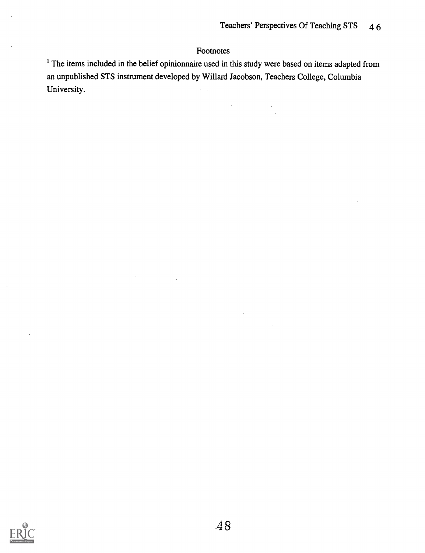### Footnotes

<sup>1</sup> The items included in the belief opinionnaire used in this study were based on items adapted from an unpublished STS instrument developed by Willard Jacobson, Teachers College, Columbia University.

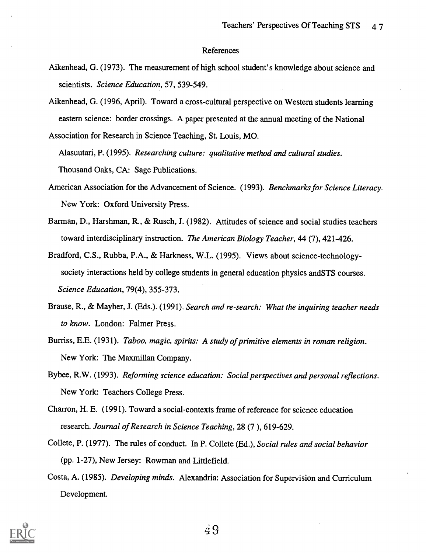#### References

- Aikenhead, G. (1973). The measurement of high school student's knowledge about science and scientists. Science Education, 57, 539-549.
- Aikenhead, G. (1996, April). Toward a cross-cultural perspective on Western students learning eastern science: border crossings. A paper presented at the annual meeting of the National Association for Research in Science Teaching, St. Louis, MO.

Alasuutari, P. (1995). Researching culture: qualitative method and cultural studies. Thousand Oaks, CA: Sage Publications.

- American Association for the Advancement of Science. (1993). Benchmarks for Science Literacy. New York: Oxford University Press.
- Barman, D., Harshman, R., & Rusch, J. (1982). Attitudes of science and social studies teachers toward interdisciplinary instruction. The American Biology Teacher, 44 (7), 421-426.
- Bradford, C.S., Rubba, P.A., & Harkness, W.L. (1995). Views about science-technologysociety interactions held by college students in general education physics andSTS courses. Science Education, 79(4), 355-373.
- Brause, R., & Mayher, J. (Eds.). (1991). Search and re-search: What the inquiring teacher needs to know. London: Falmer Press.
- Burriss, E.E. (1931). Taboo, magic, spirits: A study of primitive elements in roman religion. New York: The Maxmillan Company.
- Bybee, R.W. (1993). Reforming science education: Social perspectives and personal reflections. New York: Teachers College Press.
- Charron, H. E. (1991). Toward a social-contexts frame of reference for science education research. Journal of Research in Science Teaching, 28 (7 ), 619-629.
- Collete, P. (1977). The rules of conduct. In P. Collete (Ed.), Social rules and social behavior (pp. 1-27), New Jersey: Rowman and Littlefield.
- Costa, A. (1985). Developing minds. Alexandria: Association for Supervision and Curriculum Development.

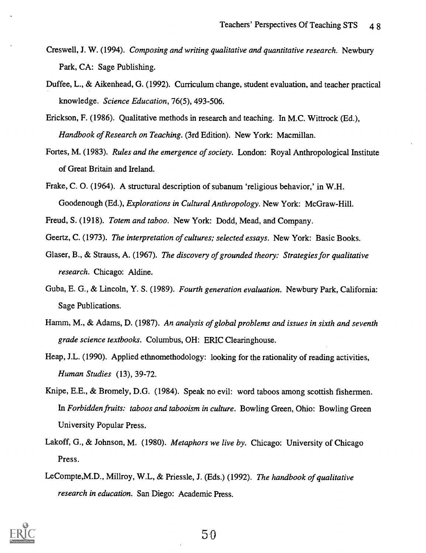- Creswell, J. W. (1994). Composing and writing qualitative and quantitative research. Newbury Park, CA: Sage Publishing.
- Duffee, L., & Aikenhead, G. (1992). Curriculum change, student evaluation, and teacher practical knowledge. Science Education, 76(5), 493-506.
- Erickson, F. (1986). Qualitative methods in research and teaching. In M.C. Wittrock (Ed.), Handbook of Research on Teaching. (3rd Edition). New York: Macmillan.
- Fortes, M. (1983). Rules and the emergence of society. London: Royal Anthropological Institute of Great Britain and Ireland.
- Frake, C. 0. (1964). A structural description of subanum 'religious behavior,' in W.H. Goodenough (Ed.), Explorations in Cultural Anthropology. New York: McGraw-Hill.

Freud, S. (1918). Totem and taboo. New York: Dodd, Mead, and Company.

Geertz, C. (1973). The interpretation of cultures; selected essays. New York: Basic Books.

- Glaser, B., & Strauss, A. (1967). The discovery of grounded theory: Strategies for qualitative research. Chicago: Aldine.
- Guba, E. G., & Lincoln, Y. S. (1989). Fourth generation evaluation. Newbury Park, California: Sage Publications.
- Hamm, M., & Adams, D. (1987). An analysis of global problems and issues in sixth and seventh grade science textbooks. Columbus, OH: ERIC Clearinghouse.
- Heap, J.L. (1990). Applied ethnomethodology: looking for the rationality of reading activities, Human Studies (13), 39-72.
- Knipe, E.E., & Bromely, D.G. (1984). Speak no evil: word taboos among scottish fishermen. In Forbidden fruits: taboos and tabooism in culture. Bowling Green, Ohio: Bowling Green University Popular Press.
- Lakoff, G., & Johnson, M. (1980). Metaphors we live by. Chicago: University of Chicago Press.
- LeCompte,M.D., Millroy, W.L, & Priessle, J. (Eds.) (1992). The handbook of qualitative research in education. San Diego: Academic Press.

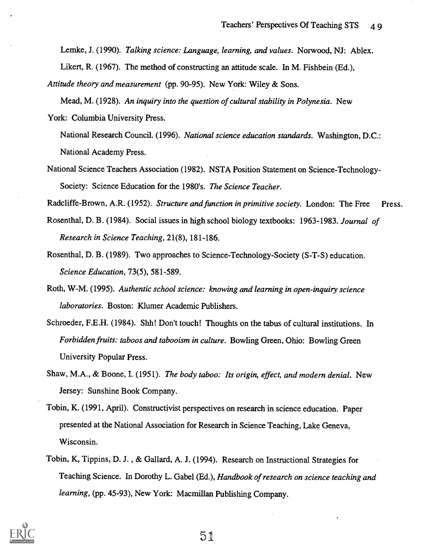Lemke, J. (1990). Talking science: Language, learning, and values. Norwood, NJ: Ablex.

Likert, R. (1967). The method of constructing an attitude scale. In M. Fishbein (Ed.),

- Attitude theory and measurement (pp. 90-95). New York: Wiley & Sons.
	- Mead, M. (1928). An inquiry into the question of cultural stability in Polynesia. New
- York: Columbia University Press.

National Research Council. (1996). National science education standards. Washington, D.C.: National Academy Press.

National Science Teachers Association (1982). NSTA Position Statement on Science-Technology-Society: Science Education for the 1980's. The Science Teacher.

Radcliffe-Brown, A.R. (1952). Structure and function in primitive society. London: The Free Press.

- Rosenthal, D. B. (1984). Social issues in high school biology textbooks: 1963-1983. Journal of Research in Science Teaching, 21(8), 181-186.
- Rosenthal, D. B. (1989). Two approaches to Science-Technology-Society (S-T-S) education. Science Education, 73(5), 581-589.
- Roth, W-M. (1995). Authentic school science: knowing and learning in open-inquiry science laboratories. Boston: Klumer Academic Publishers.
- Schroeder, F.E.H. (1984). Shh! Don't touch! Thoughts on the tabus of cultural institutions. In Forbidden fruits: taboos and tabooism in culture. Bowling Green, Ohio: Bowling Green University Popular Press.
- Shaw, M.A., & Boone, I. (1951). The body taboo: Its origin, effect, and modern denial. New Jersey: Sunshine Book Company.
- Tobin, K. (1991, April). Constructivist perspectives on research in science education. Paper presented at the National Association for Research in Science Teaching, Lake Geneva, Wisconsin.
- Tobin, K, Tippins, D. J. , & Gallard, A. J. (1994). Research on Instructional Strategies for Teaching Science. In Dorothy L. Gabel (Ed.), Handbook of research on science teaching and learning, (pp. 45-93), New York: Macmillan Publishing Company.

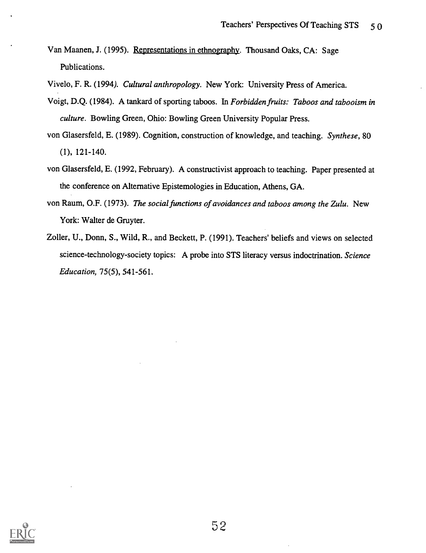- Van Maanen, J. (1995). Representations in ethnography. Thousand Oaks, CA: Sage Publications.
- Vivelo, F. R. (1994). Cultural anthropology. New York: University Press of America.
- Voigt, D.Q. (1984). A tankard of sporting taboos. In Forbidden fruits: Taboos and tabooism in culture. Bowling Green, Ohio: Bowling Green University Popular Press.
- von Glasersfeld, E. (1989). Cognition, construction of knowledge, and teaching. Synthese, 80 (1), 121-140.
- von Glasersfeld, E. (1992, February). A constructivist approach to teaching. Paper presented at the conference on Alternative Epistemologies in Education, Athens, GA.
- von Raum, O.F. (1973). The social functions of avoidances and taboos among the Zulu. New York: Walter de Gruyter.
- Zoller, U., Donn, S., Wild, R., and Beckett, P. (1991). Teachers' beliefs and views on selected science-technology-society topics: A probe into STS literacy versus indoctrination. Science Education, 75(5), 541-561.

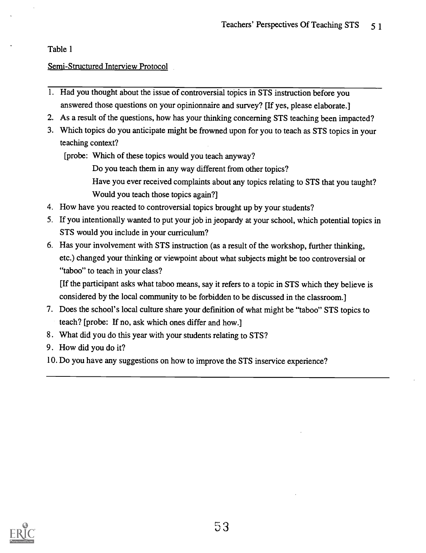Table 1

Semi-Structured Interview Protocol

- 1. Had you thought about the issue of controversial topics in STS instruction before you answered those questions on your opinionnaire and survey? [If yes, please elaborate.]
- 2. As a result of the questions, how has your thinking concerning STS teaching been impacted?
- 3. Which topics do you anticipate might be frowned upon for you to teach as STS topics in your teaching context?

[probe: Which of these topics would you teach anyway?

Do you teach them in any way different from other topics? Have you ever received complaints about any topics relating to STS that you taught? Would you teach those topics again?]

- 4. How have you reacted to controversial topics brought up by your students?
- 5. If you intentionally wanted to put your job in jeopardy at your school, which potential topics in STS would you include in your curriculum?
- 6. Has your involvement with STS instruction (as a result of the workshop, further thinking, etc.) changed your thinking or viewpoint about what subjects might be too controversial or "taboo" to teach in your class?

[If the participant asks what taboo means, say it refers to a topic in STS which they believe is considered by the local community to be forbidden to be discussed in the classroom.]

- 7. Does the school's local culture share your definition of what might be "taboo" STS topics to teach? [probe: If no, ask which ones differ and how.]
- 8. What did you do this year with your students relating to STS?
- 9. How did you do it?
- 10. Do you have any suggestions on how to improve the STS inservice experience?

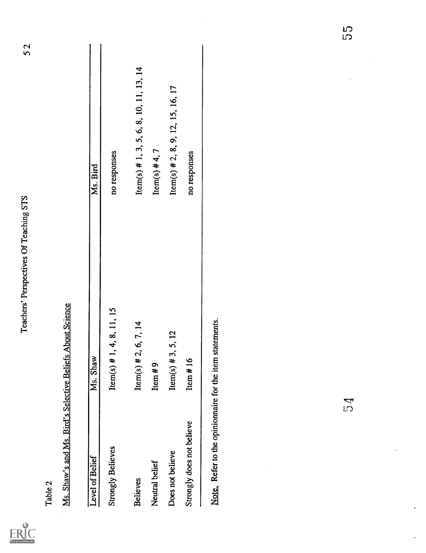| Provided<br>ERIC<br>ull Text<br>í |  |
|-----------------------------------|--|

Teachers' Perspectives Of Teaching STS<br>Table 2<br>Ms. Shaw's and Ms. Bird's Selective Beliefs About Science

| Item(s) # 1, 4, 8, 11, 15<br><b>Strongly Believes</b><br><b>Believes</b> | Ms. Bird         |                                         |
|--------------------------------------------------------------------------|------------------|-----------------------------------------|
|                                                                          | no responses     |                                         |
| Item(s) # 2,                                                             | 6, 7, 14         | Item(s) # 1, 3, 5, 6, 8, 10, 11, 13, 14 |
| Item $#9$<br>Neutral belief                                              | $Item(s)$ # 4, 7 |                                         |
| $Item(s)$ # 3, 5, 12<br>Does not believe                                 |                  | Item(s) $\# 2$ , 8, 9, 12, 15, 16, 17   |
| Item # 16<br>Strongly does not believe                                   | no responses     |                                         |
|                                                                          |                  |                                         |

 $\ddot{\phantom{0}}$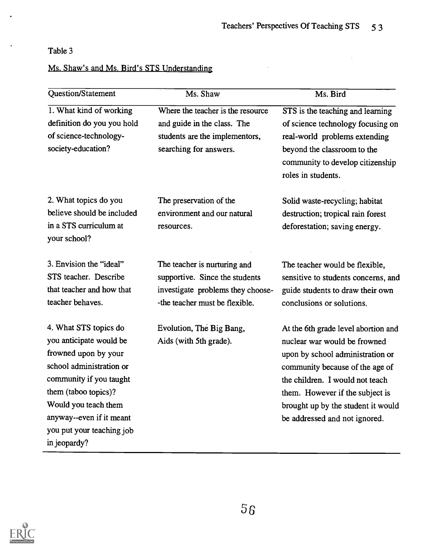$\ddot{\phantom{a}}$ 

 $\ddot{\phantom{0}}$ 

### Table 3

l.

### Ms. Shaw's and Ms. Bird's STS Understanding

| Question/Statement                     | Ms. Shaw                          | Ms. Bird                            |
|----------------------------------------|-----------------------------------|-------------------------------------|
| 1. What kind of working                | Where the teacher is the resource | STS is the teaching and learning    |
| definition do you you hold             | and guide in the class. The       | of science technology focusing on   |
| of science-technology-                 | students are the implementors,    | real-world problems extending       |
| society-education?                     | searching for answers.            | beyond the classroom to the         |
|                                        |                                   | community to develop citizenship    |
|                                        |                                   | roles in students.                  |
| 2. What topics do you                  | The preservation of the           | Solid waste-recycling; habitat      |
| believe should be included             | environment and our natural       | destruction; tropical rain forest   |
| in a STS curriculum at<br>your school? | resources.                        | deforestation; saving energy.       |
| 3. Envision the "ideal"                | The teacher is nurturing and      | The teacher would be flexible,      |
| STS teacher. Describe                  | supportive. Since the students    | sensitive to students concerns, and |
| that teacher and how that              | investigate problems they choose- | guide students to draw their own    |
| teacher behaves.                       | -the teacher must be flexible.    | conclusions or solutions.           |
| 4. What STS topics do                  | Evolution, The Big Bang,          | At the 6th grade level abortion and |
| you anticipate would be                | Aids (with 5th grade).            | nuclear war would be frowned        |
| frowned upon by your                   |                                   | upon by school administration or    |
| school administration or               |                                   | community because of the age of     |
| community if you taught                |                                   | the children. I would not teach     |
| them (taboo topics)?                   |                                   | them. However if the subject is     |
| Would you teach them                   |                                   | brought up by the student it would  |
| anyway--even if it meant               |                                   | be addressed and not ignored.       |
| you put your teaching job              |                                   |                                     |
| in jeopardy?                           |                                   |                                     |

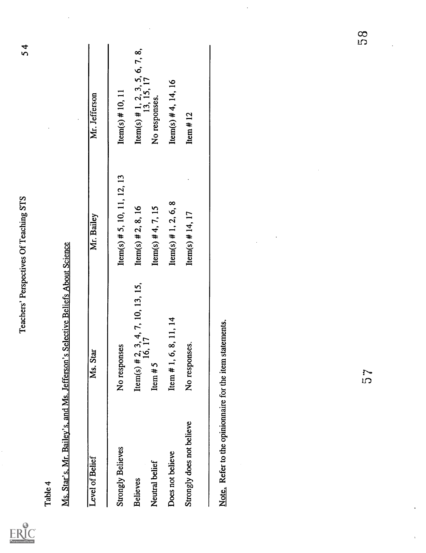|      |         | Ms. Star's, Mr. Bailey's, and Ms. Jefferson's Select |
|------|---------|------------------------------------------------------|
|      | Table 4 |                                                      |
| ERIC |         |                                                      |

Ŷ,

| Ms. Star's, Mr. Bailey's, and Ms. Jefferson's<br>Table 4 | Selective Beliefs About Science                |                             |                                              |        |
|----------------------------------------------------------|------------------------------------------------|-----------------------------|----------------------------------------------|--------|
| Level of Belief                                          | Ms. Star                                       | Mr. Bailey                  | Mr. Jefferson                                |        |
| <b>Strongly Believes</b>                                 | No responses                                   | Item(s) # 5, 10, 11, 12, 13 | $Item(s)$ # 10, 11                           |        |
| <b>Believes</b>                                          | Item(s) $# 2$ , 3, 4, 7, 10, 13, 15,<br>16, 17 | $Item(s)$ # 2, 8, 16        | Item(s) # 1, 2, 3, 5, 6, 7, 8,<br>13, 15, 17 |        |
| Neutral belief                                           | Item $#5$                                      | $Item(s)$ # 4, 7, 15        | No responses.                                |        |
| Does not believe                                         | Item # $1, 6, 8, 11, 14$                       | $Item(s)$ # 1, 2, 6, 8      | $Item(s)$ #4, 14, 16                         |        |
| Strongly does not believe                                | No responses.                                  | $Item(s)$ # 14, 17          | Item $#12$                                   |        |
|                                                          |                                                |                             |                                              |        |
|                                                          |                                                |                             |                                              |        |
|                                                          | $\frac{7}{2}$                                  |                             |                                              | ς<br>Σ |
|                                                          |                                                |                             |                                              |        |

 $\ddot{\cdot}$ 

ţ.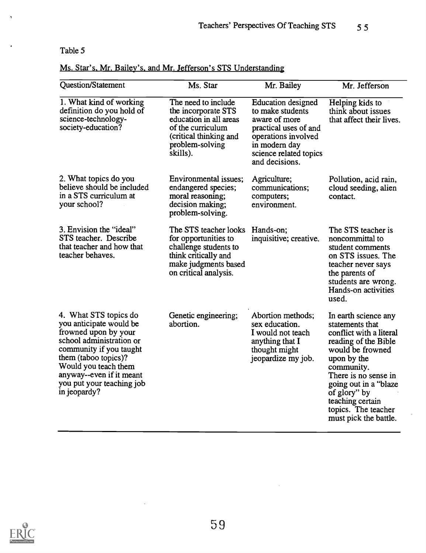### Table 5

### Ms. Star's. Mr. Bailey's. and Mr. Jefferson's STS Understanding

| Question/Statement                                                                                                                                                                                                                                       | Ms. Star                                                                                                                                           | Mr. Bailey                                                                                                                                                           | Mr. Jefferson                                                                                                                                                                                                                                                                    |
|----------------------------------------------------------------------------------------------------------------------------------------------------------------------------------------------------------------------------------------------------------|----------------------------------------------------------------------------------------------------------------------------------------------------|----------------------------------------------------------------------------------------------------------------------------------------------------------------------|----------------------------------------------------------------------------------------------------------------------------------------------------------------------------------------------------------------------------------------------------------------------------------|
| 1. What kind of working<br>definition do you hold of<br>science-technology-<br>society-education?                                                                                                                                                        | The need to include<br>the incorporate STS<br>education in all areas<br>of the curriculum<br>(critical thinking and<br>problem-solving<br>skills). | Education designed<br>to make students<br>aware of more<br>practical uses of and<br>operations involved<br>in modern day<br>science related topics<br>and decisions. | Helping kids to<br>think about issues<br>that affect their lives.                                                                                                                                                                                                                |
| 2. What topics do you<br>believe should be included<br>in a STS curriculum at<br>your school?                                                                                                                                                            | Environmental issues:<br>endangered species;<br>moral reasoning;<br>decision making;<br>problem-solving.                                           | Agriculture;<br>communications;<br>computers;<br>environment.                                                                                                        | Pollution, acid rain,<br>cloud seeding, alien<br>contact.                                                                                                                                                                                                                        |
| 3. Envision the "ideal"<br>STS teacher. Describe<br>that teacher and how that<br>teacher behaves.                                                                                                                                                        | The STS teacher looks<br>for opportunities to<br>challenge students to<br>think critically and<br>make judgments based<br>on critical analysis.    | Hands-on;<br>inquisitive; creative.                                                                                                                                  | The STS teacher is<br>noncommittal to<br>student comments<br>on STS issues. The<br>teacher never says<br>the parents of<br>students are wrong.<br>Hands-on activities<br>used.                                                                                                   |
| 4. What STS topics do<br>you anticipate would be<br>frowned upon by your<br>school administration or<br>community if you taught<br>them (taboo topics)?<br>Would you teach them<br>anyway--even if it meant<br>you put your teaching job<br>in jeopardy? | Genetic engineering;<br>abortion.                                                                                                                  | Abortion methods;<br>sex education.<br>I would not teach<br>anything that I<br>thought might<br>jeopardize my job.                                                   | In earth science any<br>statements that<br>conflict with a literal<br>reading of the Bible<br>would be frowned<br>upon by the<br>community.<br>There is no sense in<br>going out in a "blaze<br>of glory" by<br>teaching certain<br>topics. The teacher<br>must pick the battle. |

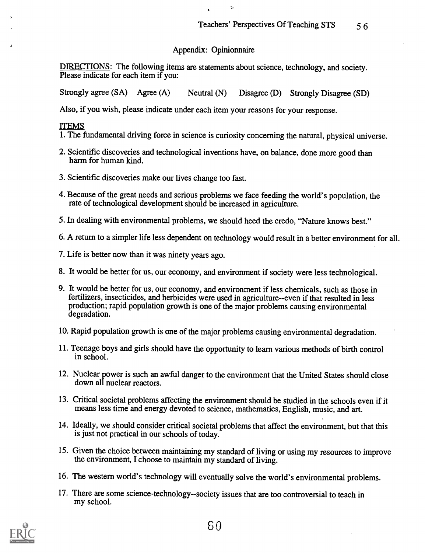#### Appendix: Opinionnaire

DIRECTIONS: The following items are statements about science, technology, and society. Please indicate for each item if you:

Strongly agree (SA) Agree (A) Neutral (N) Disagree (D) Strongly Disagree (SD)

Also, if you wish, please indicate under each item your reasons for your response.

#### ITEMS

1. The fundamental driving force in science is curiosity concerning the natural, physical universe.

- 2. Scientific discoveries and technological inventions have, on balance, done more good than harm for human kind.
- 3. Scientific discoveries make our lives change too fast.
- 4. Because of the great needs and serious problems we face feeding the world's population, the rate of technological development should be increased in agriculture.
- 5. In dealing with environmental problems, we should heed the credo, "Nature knows best."

6. A return to a simpler life less dependent on technology would result in a better environment for all.

- 7. Life is better now than it was ninety years ago.
- 8. It would be better for us, our economy, and environment if society were less technological.
- 9. It would be better for us, our economy, and environment if less chemicals, such as those in fertilizers, insecticides, and herbicides were used in agriculture--even if that resulted in less production; rapid population growth is one of the major problems causing environmental degradation.
- 10. Rapid population growth is one of the major problems causing environmental degradation.
- 11. Teenage boys and girls should have the opportunity to learn various methods of birth control in school.
- 12. Nuclear power is such an awful danger to the environment that the United States should close down all nuclear reactors.
- 13. Critical societal problems affecting the environment should be studied in the schools even if it means less time and energy devoted to science, mathematics, English, music, and art.
- 14. Ideally, we should consider critical societal problems that affect the environment, but that this is just not practical in our schools of today.
- 15. Given the choice between maintaining my standard of living or using my resources to improve the environment, I choose to maintain my standard of living.
- 16. The western world's technology will eventually solve the world's environmental problems.
- 17. There are some science-technology--society issues that are too controversial to teach in my school.